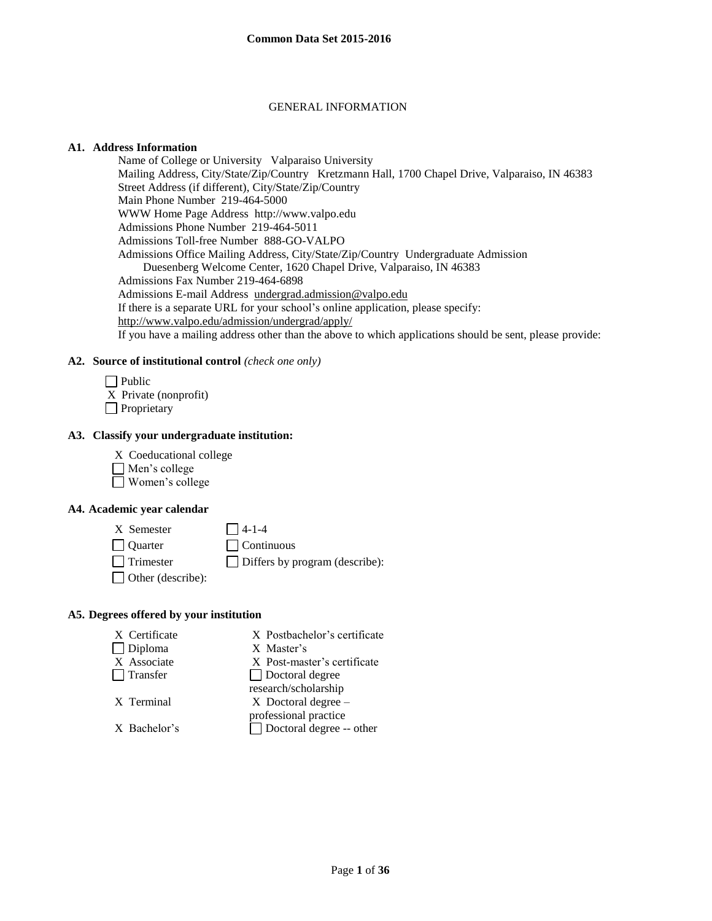### GENERAL INFORMATION

#### **A1. Address Information**

Name of College or University Valparaiso University Mailing Address, City/State/Zip/Country Kretzmann Hall, 1700 Chapel Drive, Valparaiso, IN 46383 Street Address (if different), City/State/Zip/Country Main Phone Number 219-464-5000 WWW Home Page Address http://www.valpo.edu Admissions Phone Number 219-464-5011 Admissions Toll-free Number 888-GO-VALPO Admissions Office Mailing Address, City/State/Zip/Country Undergraduate Admission Duesenberg Welcome Center, 1620 Chapel Drive, Valparaiso, IN 46383 Admissions Fax Number 219-464-6898 Admissions E-mail Address [undergrad.admission@valpo.edu](mailto:undergrad.admission@valpo.edu)  If there is a separate URL for your school's online application, please specify: <http://www.valpo.edu/admission/undergrad/apply/> If you have a mailing address other than the above to which applications should be sent, please provide:

#### **A2. Source of institutional control** *(check one only)*

 $\Box$  Public X Private (nonprofit) **Proprietary** 

#### **A3. Classify your undergraduate institution:**

X Coeducational college Men's college Women's college

## **A4. Academic year calendar**

 $X$  Semester  $\bigcap$  4-1-4 Quarter Continuous Trimester Differs by program (describe): Other (describe):

#### **A5. Degrees offered by your institution**

| X Certificate  | X Postbachelor's certificate    |
|----------------|---------------------------------|
| $\Box$ Diploma | X Master's                      |
| X Associate    | X Post-master's certificate     |
| Transfer       | $\Box$ Doctoral degree          |
|                | research/scholarship            |
| X Terminal     | $X$ Doctoral degree $-$         |
|                | professional practice           |
| X Bachelor's   | $\Box$ Doctoral degree -- other |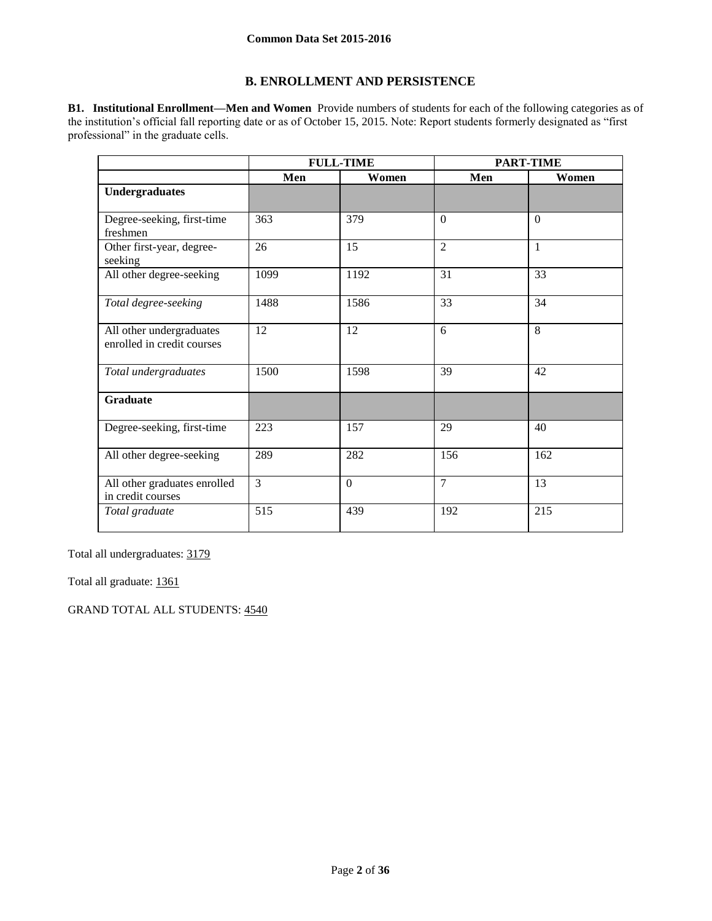## **B. ENROLLMENT AND PERSISTENCE**

**B1. Institutional Enrollment—Men and Women** Provide numbers of students for each of the following categories as of the institution's official fall reporting date or as of October 15, 2015. Note: Report students formerly designated as "first professional" in the graduate cells.

|                                                        |                | <b>FULL-TIME</b> |                | <b>PART-TIME</b> |
|--------------------------------------------------------|----------------|------------------|----------------|------------------|
|                                                        | Men            | Women            | Men            | Women            |
| <b>Undergraduates</b>                                  |                |                  |                |                  |
| Degree-seeking, first-time<br>freshmen                 | 363            | 379              | $\theta$       | $\theta$         |
| Other first-year, degree-<br>seeking                   | 26             | 15               | $\overline{2}$ | $\mathbf{1}$     |
| All other degree-seeking                               | 1099           | 1192             | 31             | 33               |
| Total degree-seeking                                   | 1488           | 1586             | 33             | 34               |
| All other undergraduates<br>enrolled in credit courses | 12             | 12               | 6              | 8                |
| Total undergraduates                                   | 1500           | 1598             | 39             | 42               |
| <b>Graduate</b>                                        |                |                  |                |                  |
| Degree-seeking, first-time                             | 223            | 157              | 29             | 40               |
| All other degree-seeking                               | 289            | 282              | 156            | 162              |
| All other graduates enrolled<br>in credit courses      | $\overline{3}$ | $\mathbf{0}$     | 7              | 13               |
| Total graduate                                         | 515            | 439              | 192            | 215              |

Total all undergraduates: 3179

Total all graduate: 1361

GRAND TOTAL ALL STUDENTS: 4540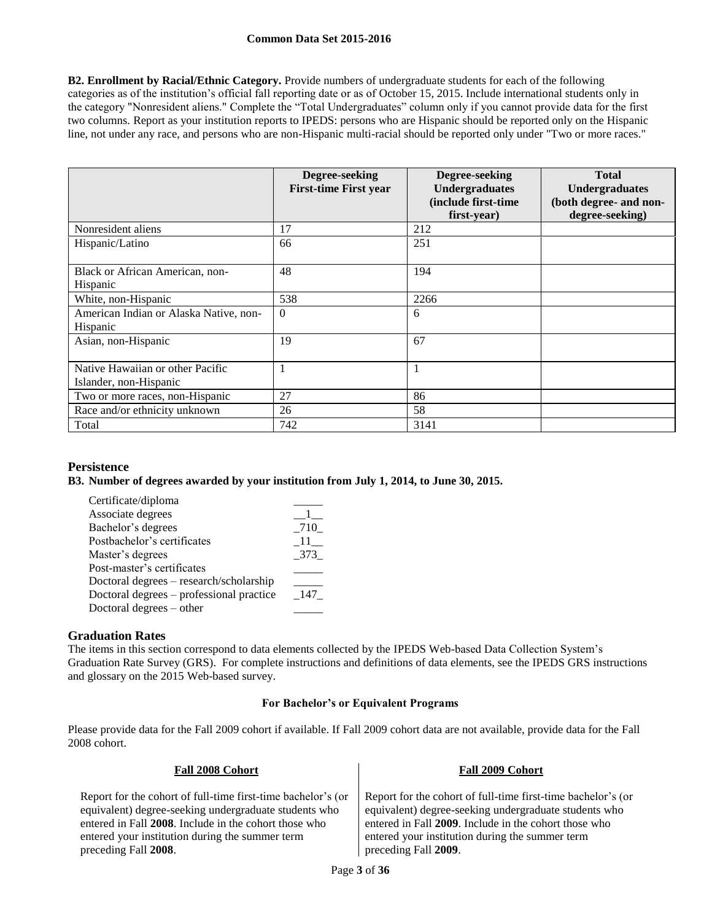**B2. Enrollment by Racial/Ethnic Category.** Provide numbers of undergraduate students for each of the following categories as of the institution's official fall reporting date or as of October 15, 2015. Include international students only in the category "Nonresident aliens." Complete the "Total Undergraduates" column only if you cannot provide data for the first two columns. Report as your institution reports to IPEDS: persons who are Hispanic should be reported only on the Hispanic line, not under any race, and persons who are non-Hispanic multi-racial should be reported only under "Two or more races."

|                                                            | Degree-seeking<br><b>First-time First year</b> | Degree-seeking<br><b>Undergraduates</b><br>(include first-time<br>first-year) | <b>Total</b><br><b>Undergraduates</b><br>(both degree- and non-<br>degree-seeking) |
|------------------------------------------------------------|------------------------------------------------|-------------------------------------------------------------------------------|------------------------------------------------------------------------------------|
| Nonresident aliens                                         | 17                                             | 212                                                                           |                                                                                    |
| Hispanic/Latino                                            | 66                                             | 251                                                                           |                                                                                    |
| Black or African American, non-<br>Hispanic                | 48                                             | 194                                                                           |                                                                                    |
| White, non-Hispanic                                        | 538                                            | 2266                                                                          |                                                                                    |
| American Indian or Alaska Native, non-<br>Hispanic         | $\theta$                                       | 6                                                                             |                                                                                    |
| Asian, non-Hispanic                                        | 19                                             | 67                                                                            |                                                                                    |
| Native Hawaiian or other Pacific<br>Islander, non-Hispanic |                                                |                                                                               |                                                                                    |
| Two or more races, non-Hispanic                            | 27                                             | 86                                                                            |                                                                                    |
| Race and/or ethnicity unknown                              | 26                                             | 58                                                                            |                                                                                    |
| Total                                                      | 742                                            | 3141                                                                          |                                                                                    |

## **Persistence**

## **B3. Number of degrees awarded by your institution from July 1, 2014, to June 30, 2015.**

| Certificate/diploma                      |           |
|------------------------------------------|-----------|
| Associate degrees                        |           |
| Bachelor's degrees                       | 710       |
| Postbachelor's certificates              | $\Box$ 11 |
| Master's degrees                         | 373       |
| Post-master's certificates               |           |
| Doctoral degrees – research/scholarship  |           |
| Doctoral degrees – professional practice | 147       |
| Doctoral degrees – other                 |           |

## **Graduation Rates**

The items in this section correspond to data elements collected by the IPEDS Web-based Data Collection System's Graduation Rate Survey (GRS). For complete instructions and definitions of data elements, see the IPEDS GRS instructions and glossary on the 2015 Web-based survey.

## **For Bachelor's or Equivalent Programs**

Please provide data for the Fall 2009 cohort if available. If Fall 2009 cohort data are not available, provide data for the Fall 2008 cohort.

**Fall 2008 Cohort Fall 2009 Cohort**

| 1 411 2000 COMOI V                                                                                                                                                                                                                                        | 1 411 8002 COMOL                                                                                                                                                                                                                                          |
|-----------------------------------------------------------------------------------------------------------------------------------------------------------------------------------------------------------------------------------------------------------|-----------------------------------------------------------------------------------------------------------------------------------------------------------------------------------------------------------------------------------------------------------|
| Report for the cohort of full-time first-time bachelor's (or<br>equivalent) degree-seeking undergraduate students who<br>entered in Fall 2008. Include in the cohort those who<br>entered your institution during the summer term<br>preceding Fall 2008. | Report for the cohort of full-time first-time bachelor's (or<br>equivalent) degree-seeking undergraduate students who<br>entered in Fall 2009. Include in the cohort those who<br>entered your institution during the summer term<br>preceding Fall 2009. |
|                                                                                                                                                                                                                                                           |                                                                                                                                                                                                                                                           |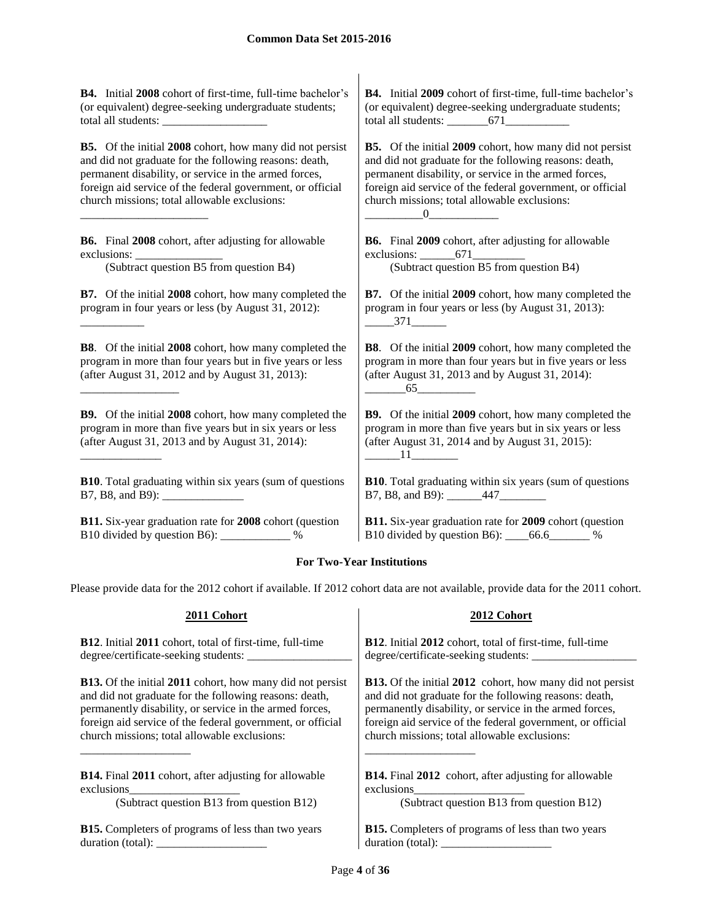**B4.** Initial **2008** cohort of first-time, full-time bachelor's (or equivalent) degree-seeking undergraduate students; total all students:

**B5.** Of the initial **2008** cohort, how many did not persist and did not graduate for the following reasons: death, permanent disability, or service in the armed forces, foreign aid service of the federal government, or official church missions; total allowable exclusions:

**B6.** Final **2008** cohort, after adjusting for allowable exclusions:

\_\_\_\_\_\_\_\_\_\_\_\_\_\_\_\_\_\_\_\_\_\_

\_\_\_\_\_\_\_\_\_\_\_

\_\_\_\_\_\_\_\_\_\_\_\_\_\_\_\_\_

\_\_\_\_\_\_\_\_\_\_\_\_\_\_

(Subtract question B5 from question B4) (Subtract question B5 from question B4)

**B7.** Of the initial **2008** cohort, how many completed the program in four years or less (by August 31, 2012):

**B8**. Of the initial **2008** cohort, how many completed the program in more than four years but in five years or less (after August 31, 2012 and by August 31, 2013):

**B9.** Of the initial **2008** cohort, how many completed the program in more than five years but in six years or less (after August 31, 2013 and by August 31, 2014):

**B10**. Total graduating within six years (sum of questions B7, B8, and B9):

**B11.** Six-year graduation rate for **2008** cohort (question B10 divided by question B6): \_\_\_\_\_\_\_\_\_\_\_\_ %

**B4.** Initial **2009** cohort of first-time, full-time bachelor's (or equivalent) degree-seeking undergraduate students; total all students: \_\_\_\_\_\_\_671\_\_\_\_\_\_\_\_\_\_\_

**B5.** Of the initial **2009** cohort, how many did not persist and did not graduate for the following reasons: death, permanent disability, or service in the armed forces, foreign aid service of the federal government, or official church missions; total allowable exclusions:  $\underline{\hspace{1cm}}0$ 

**B6.** Final **2009** cohort, after adjusting for allowable exclusions: 671

**B7.** Of the initial **2009** cohort, how many completed the program in four years or less (by August 31, 2013):  $-$  371

**B8**. Of the initial **2009** cohort, how many completed the program in more than four years but in five years or less (after August 31, 2013 and by August 31, 2014):  $65$ 

**B9.** Of the initial **2009** cohort, how many completed the program in more than five years but in six years or less (after August 31, 2014 and by August 31, 2015):  $\overline{11}$ 

**B10**. Total graduating within six years (sum of questions B7, B8, and B9): \_\_\_\_\_\_\_447\_\_\_\_\_\_\_\_\_

**B11.** Six-year graduation rate for **2009** cohort (question B10 divided by question B6): \_\_\_\_66.6\_\_\_\_\_\_\_ %

## **For Two-Year Institutions**

Please provide data for the 2012 cohort if available. If 2012 cohort data are not available, provide data for the 2011 cohort.

**2011 Cohort 2012 Cohort**

| <b>B12.</b> Initial 2011 cohort, total of first-time, full-time  | <b>B12.</b> Initial 2012 cohort, total of first-time, full-time  |
|------------------------------------------------------------------|------------------------------------------------------------------|
| degree/certificate-seeking students:                             | degree/certificate-seeking students: ___________                 |
| <b>B13.</b> Of the initial 2011 cohort, how many did not persist | <b>B13.</b> Of the initial 2012 cohort, how many did not persist |
| and did not graduate for the following reasons: death,           | and did not graduate for the following reasons: death,           |
| permanently disability, or service in the armed forces,          | permanently disability, or service in the armed forces,          |
| foreign aid service of the federal government, or official       | foreign aid service of the federal government, or official       |
| church missions; total allowable exclusions:                     | church missions; total allowable exclusions:                     |
| <b>B14.</b> Final 2011 cohort, after adjusting for allowable     | <b>B14.</b> Final 2012 cohort, after adjusting for allowable     |
| exclusions                                                       | exclusions                                                       |
| (Subtract question B13 from question B12)                        | (Subtract question B13 from question B12)                        |
| <b>B15.</b> Completers of programs of less than two years        | <b>B15.</b> Completers of programs of less than two years        |
| duration (total):                                                | duration (total):                                                |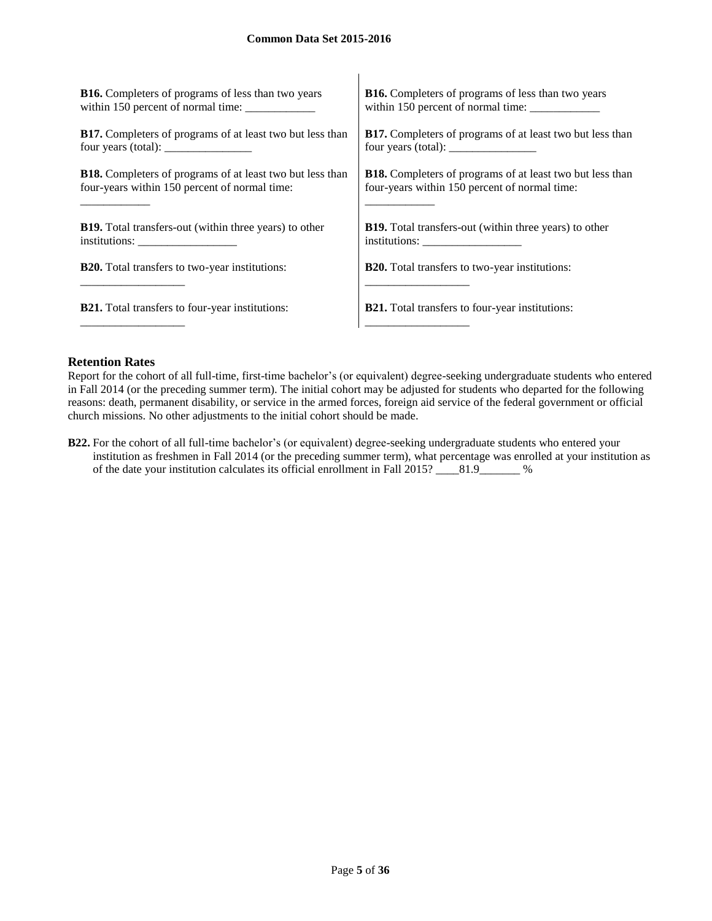| <b>B16.</b> Completers of programs of less than two years                                                                                                                                                                                                                                         | <b>B16.</b> Completers of programs of less than two years        |
|---------------------------------------------------------------------------------------------------------------------------------------------------------------------------------------------------------------------------------------------------------------------------------------------------|------------------------------------------------------------------|
| within 150 percent of normal time:                                                                                                                                                                                                                                                                |                                                                  |
| <b>B17.</b> Completers of programs of at least two but less than                                                                                                                                                                                                                                  | B17. Completers of programs of at least two but less than        |
| four years (total): $\frac{1}{2}$ = $\frac{1}{2}$ = $\frac{1}{2}$ = $\frac{1}{2}$ = $\frac{1}{2}$ = $\frac{1}{2}$ = $\frac{1}{2}$ = $\frac{1}{2}$ = $\frac{1}{2}$ = $\frac{1}{2}$ = $\frac{1}{2}$ = $\frac{1}{2}$ = $\frac{1}{2}$ = $\frac{1}{2}$ = $\frac{1}{2}$ = $\frac{1}{2}$ = $\frac{1}{2}$ | four years (total): $\frac{\phantom{1}}{2}$                      |
| <b>B18.</b> Completers of programs of at least two but less than                                                                                                                                                                                                                                  | <b>B18.</b> Completers of programs of at least two but less than |
| four-years within 150 percent of normal time:                                                                                                                                                                                                                                                     | four-years within 150 percent of normal time:                    |
| <b>B19.</b> Total transfers-out (within three years) to other                                                                                                                                                                                                                                     | <b>B19.</b> Total transfers-out (within three years) to other    |
| institutions:                                                                                                                                                                                                                                                                                     |                                                                  |
| <b>B20.</b> Total transfers to two-year institutions:                                                                                                                                                                                                                                             | <b>B20.</b> Total transfers to two-year institutions:            |
|                                                                                                                                                                                                                                                                                                   |                                                                  |
| <b>B21.</b> Total transfers to four-year institutions:                                                                                                                                                                                                                                            | <b>B21.</b> Total transfers to four-year institutions:           |
|                                                                                                                                                                                                                                                                                                   |                                                                  |

 $\overline{1}$ 

#### **Retention Rates**

Report for the cohort of all full-time, first-time bachelor's (or equivalent) degree-seeking undergraduate students who entered in Fall 2014 (or the preceding summer term). The initial cohort may be adjusted for students who departed for the following reasons: death, permanent disability, or service in the armed forces, foreign aid service of the federal government or official church missions. No other adjustments to the initial cohort should be made.

**B22.** For the cohort of all full-time bachelor's (or equivalent) degree-seeking undergraduate students who entered your institution as freshmen in Fall 2014 (or the preceding summer term), what percentage was enrolled at your institution as of the date your institution calculates its official enrollment in Fall 2015? \_\_\_\_81.9\_\_\_\_\_\_\_ %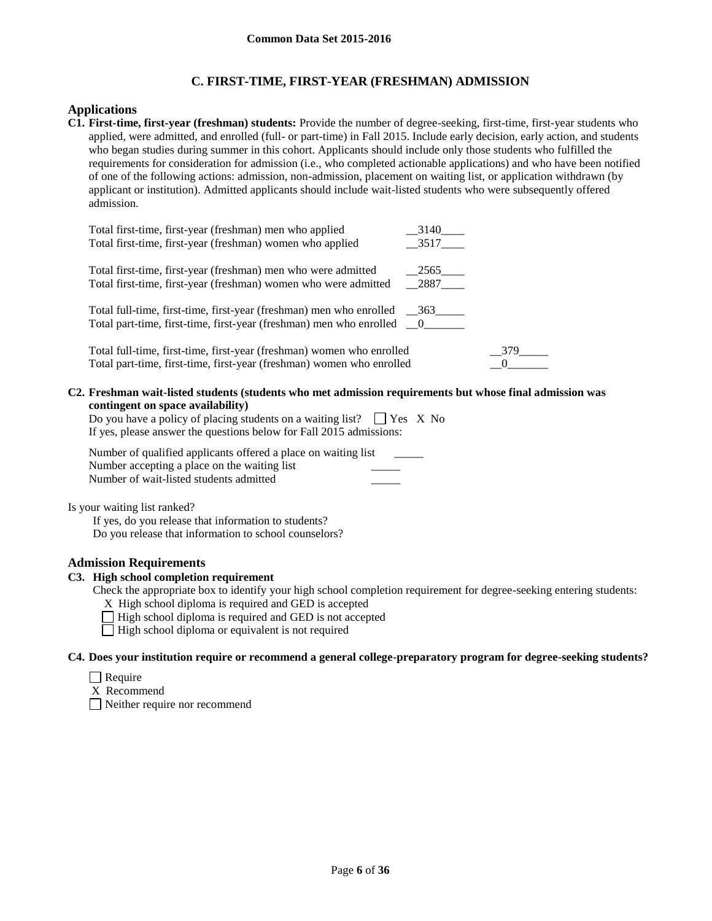## **C. FIRST-TIME, FIRST-YEAR (FRESHMAN) ADMISSION**

## **Applications**

**C1. First-time, first-year (freshman) students:** Provide the number of degree-seeking, first-time, first-year students who applied, were admitted, and enrolled (full- or part-time) in Fall 2015. Include early decision, early action, and students who began studies during summer in this cohort. Applicants should include only those students who fulfilled the requirements for consideration for admission (i.e., who completed actionable applications) and who have been notified of one of the following actions: admission, non-admission, placement on waiting list, or application withdrawn (by applicant or institution). Admitted applicants should include wait-listed students who were subsequently offered admission.

| Total first-time, first-year (freshman) men who applied                        | 3140<br>3517 |
|--------------------------------------------------------------------------------|--------------|
| Total first-time, first-year (freshman) women who applied                      |              |
| Total first-time, first-year (freshman) men who were admitted                  | 2565         |
| Total first-time, first-year (freshman) women who were admitted                | 2887         |
| Total full-time, first-time, first-year (freshman) men who enrolled __363_____ |              |
| Total part-time, first-time, first-year (freshman) men who enrolled __0_______ |              |
| Total full-time, first-time, first-year (freshman) women who enrolled          | 379          |
| Total part-time, first-time, first-year (freshman) women who enrolled          |              |

**C2. Freshman wait-listed students (students who met admission requirements but whose final admission was contingent on space availability)**

Do you have a policy of placing students on a waiting list?  $\Box$  Yes X No If yes, please answer the questions below for Fall 2015 admissions:

Number of qualified applicants offered a place on waiting list Number accepting a place on the waiting list Number of wait-listed students admitted \_\_\_\_\_

Is your waiting list ranked?

If yes, do you release that information to students? Do you release that information to school counselors?

## **Admission Requirements**

## **C3. High school completion requirement**

- Check the appropriate box to identify your high school completion requirement for degree-seeking entering students: X High school diploma is required and GED is accepted
	- $\Box$  High school diploma is required and GED is not accepted
	- $\Box$  High school diploma or equivalent is not required

#### **C4. Does your institution require or recommend a general college-preparatory program for degree-seeking students?**

- $\Box$  Require
- X Recommend

Neither require nor recommend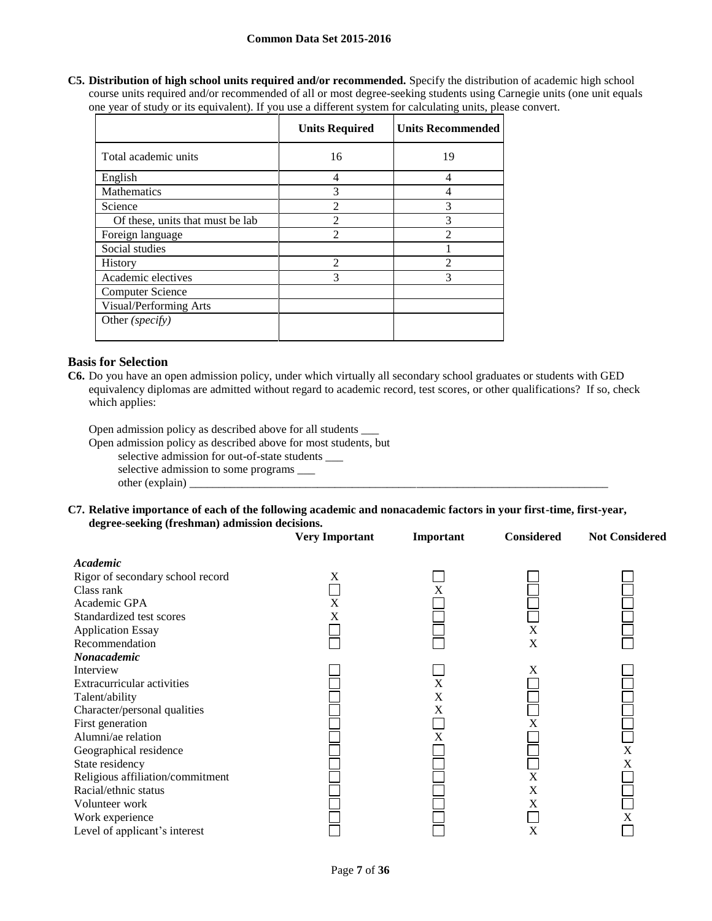**C5. Distribution of high school units required and/or recommended.** Specify the distribution of academic high school course units required and/or recommended of all or most degree-seeking students using Carnegie units (one unit equals one year of study or its equivalent). If you use a different system for calculating units, please convert.

|                                  | <b>Units Required</b> | <b>Units Recommended</b> |
|----------------------------------|-----------------------|--------------------------|
| Total academic units             | 16                    | 19                       |
| English                          | 4                     | $\overline{4}$           |
| <b>Mathematics</b>               | 3                     | 4                        |
| Science                          | $\mathfrak{D}$        | 3                        |
| Of these, units that must be lab | $\mathfrak{D}$        | 3                        |
| Foreign language                 | $\mathfrak{D}$        | $\mathfrak{D}$           |
| Social studies                   |                       |                          |
| <b>History</b>                   | $\mathfrak{D}$        | $\mathcal{D}$            |
| Academic electives               | 3                     | 3                        |
| Computer Science                 |                       |                          |
| Visual/Performing Arts           |                       |                          |
| Other (specify)                  |                       |                          |

## **Basis for Selection**

**C6.** Do you have an open admission policy, under which virtually all secondary school graduates or students with GED equivalency diplomas are admitted without regard to academic record, test scores, or other qualifications? If so, check which applies:

Open admission policy as described above for all students \_\_\_

Open admission policy as described above for most students, but

selective admission for out-of-state students \_\_\_

selective admission to some programs \_\_\_ other (explain) \_

**C7. Relative importance of each of the following academic and nonacademic factors in your first-time, first-year, degree-seeking (freshman) admission decisions.**

|                                  | <b>Very Important</b> | Important | <b>Considered</b> | <b>Not Considered</b> |
|----------------------------------|-----------------------|-----------|-------------------|-----------------------|
| Academic                         |                       |           |                   |                       |
| Rigor of secondary school record | X                     |           |                   |                       |
| Class rank                       |                       | X         |                   |                       |
| Academic GPA                     | X                     |           |                   |                       |
| Standardized test scores         | X                     |           |                   |                       |
| <b>Application Essay</b>         |                       |           | X                 |                       |
| Recommendation                   |                       |           | X                 |                       |
| Nonacademic                      |                       |           |                   |                       |
| Interview                        |                       |           | Χ                 |                       |
| Extracurricular activities       |                       | X         |                   |                       |
| Talent/ability                   |                       | X         |                   |                       |
| Character/personal qualities     |                       | X         |                   |                       |
| First generation                 |                       |           | X                 |                       |
| Alumni/ae relation               |                       | X         |                   |                       |
| Geographical residence           |                       |           |                   | X                     |
| State residency                  |                       |           |                   | X                     |
| Religious affiliation/commitment |                       |           | X                 |                       |
| Racial/ethnic status             |                       |           | X                 |                       |
| Volunteer work                   |                       |           | X                 |                       |
| Work experience                  |                       |           |                   | X                     |
| Level of applicant's interest    |                       |           | X                 |                       |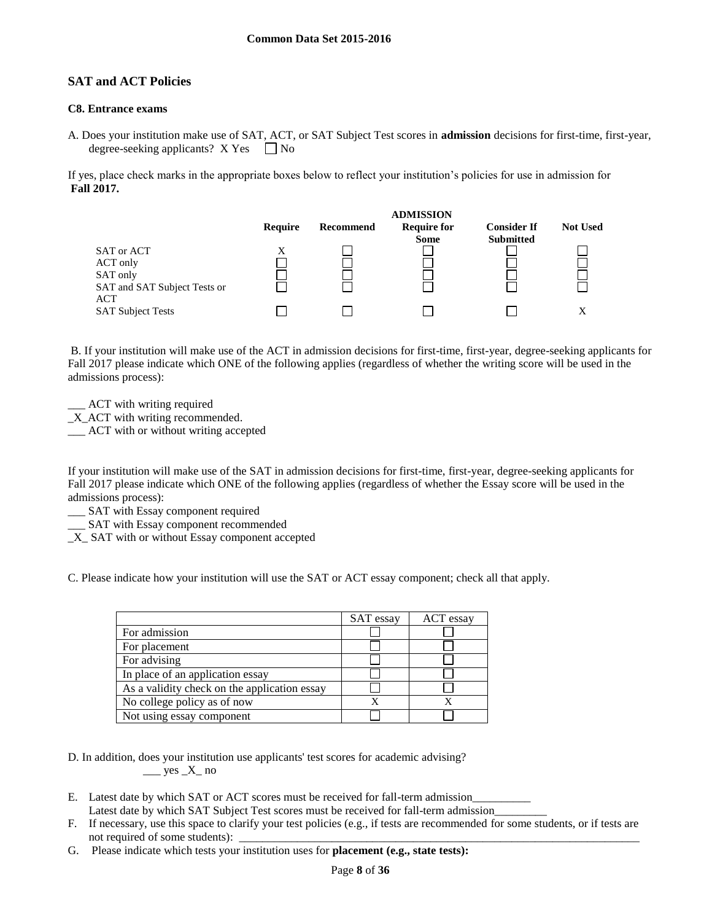## **SAT and ACT Policies**

## **C8. Entrance exams**

A. Does your institution make use of SAT, ACT, or SAT Subject Test scores in **admission** decisions for first-time, first-year, degree-seeking applicants?  $X$  Yes  $\Box$  No

If yes, place check marks in the appropriate boxes below to reflect your institution's policies for use in admission for **Fall 2017.**



B. If your institution will make use of the ACT in admission decisions for first-time, first-year, degree-seeking applicants for Fall 2017 please indicate which ONE of the following applies (regardless of whether the writing score will be used in the admissions process):

ACT with writing required

\_X\_ACT with writing recommended.

\_\_\_ ACT with or without writing accepted

If your institution will make use of the SAT in admission decisions for first-time, first-year, degree-seeking applicants for Fall 2017 please indicate which ONE of the following applies (regardless of whether the Essay score will be used in the admissions process):

\_\_\_ SAT with Essay component required

\_\_\_ SAT with Essay component recommended

\_X\_ SAT with or without Essay component accepted

C. Please indicate how your institution will use the SAT or ACT essay component; check all that apply.

|                                              | SAT essay | ACT essay |
|----------------------------------------------|-----------|-----------|
| For admission                                |           |           |
| For placement                                |           |           |
| For advising                                 |           |           |
| In place of an application essay             |           |           |
| As a validity check on the application essay |           |           |
| No college policy as of now                  |           |           |
| Not using essay component                    |           |           |

D. In addition, does your institution use applicants' test scores for academic advising?  $\_\_\_\$  yes  $\_X\_$  no

- E. Latest date by which SAT or ACT scores must be received for fall-term admission Latest date by which SAT Subject Test scores must be received for fall-term admission
- F. If necessary, use this space to clarify your test policies (e.g., if tests are recommended for some students, or if tests are not required of some students):
- G. Please indicate which tests your institution uses for **placement (e.g., state tests):**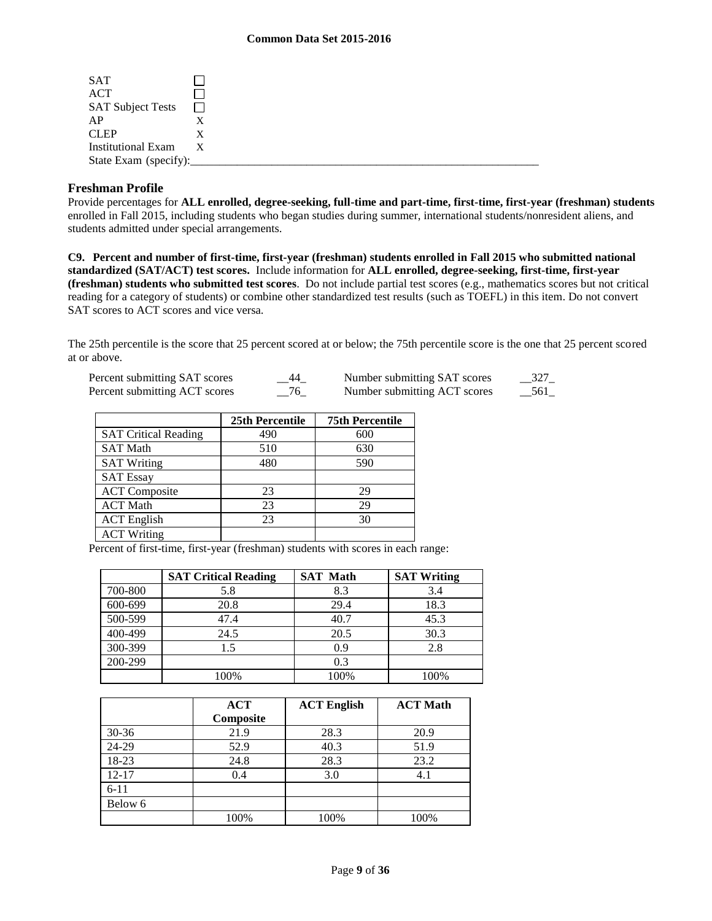| <b>SAT</b>                |   |
|---------------------------|---|
| <b>ACT</b>                |   |
| <b>SAT Subject Tests</b>  |   |
| AP                        |   |
| <b>CLEP</b>               |   |
| <b>Institutional Exam</b> | X |
| State Exam (specify):     |   |

## **Freshman Profile**

Provide percentages for **ALL enrolled, degree-seeking, full-time and part-time, first-time, first-year (freshman) students**  enrolled in Fall 2015, including students who began studies during summer, international students/nonresident aliens, and students admitted under special arrangements.

**C9. Percent and number of first-time, first-year (freshman) students enrolled in Fall 2015 who submitted national standardized (SAT/ACT) test scores.** Include information for **ALL enrolled, degree-seeking, first-time, first-year (freshman) students who submitted test scores**. Do not include partial test scores (e.g., mathematics scores but not critical reading for a category of students) or combine other standardized test results (such as TOEFL) in this item. Do not convert SAT scores to ACT scores and vice versa.

The 25th percentile is the score that 25 percent scored at or below; the 75th percentile score is the one that 25 percent scored at or above.

| Percent submitting SAT scores | - 44   | Number submitting SAT scores | 327 |
|-------------------------------|--------|------------------------------|-----|
| Percent submitting ACT scores | $-$ 76 | Number submitting ACT scores | 561 |

|                             | 25th Percentile | <b>75th Percentile</b> |
|-----------------------------|-----------------|------------------------|
| <b>SAT Critical Reading</b> | 490             | 600                    |
| <b>SAT Math</b>             | 510             | 630                    |
| <b>SAT Writing</b>          | 480             | 590                    |
| <b>SAT Essay</b>            |                 |                        |
| <b>ACT</b> Composite        | 23              | 29                     |
| <b>ACT</b> Math             | 23              | 29                     |
| <b>ACT</b> English          | 23              | 30                     |
| <b>ACT Writing</b>          |                 |                        |

Percent of first-time, first-year (freshman) students with scores in each range:

|         | <b>SAT Critical Reading</b> | <b>SAT Math</b> | <b>SAT Writing</b> |
|---------|-----------------------------|-----------------|--------------------|
| 700-800 | 5.8                         | 8.3             | 3.4                |
| 600-699 | 20.8                        | 29.4            | 18.3               |
| 500-599 | 47.4                        | 40.7            | 45.3               |
| 400-499 | 24.5                        | 20.5            | 30.3               |
| 300-399 | 1.5                         | 0.9             | 2.8                |
| 200-299 |                             | 0.3             |                    |
|         | 100%                        | 100%            | 100%               |

|           | ACT<br>Composite | <b>ACT English</b> | <b>ACT Math</b> |
|-----------|------------------|--------------------|-----------------|
| $30 - 36$ | 21.9             | 28.3               | 20.9            |
| 24-29     | 52.9             | 40.3               | 51.9            |
| 18-23     | 24.8             | 28.3               | 23.2            |
| $12 - 17$ | 0.4              | 3.0                | 4.1             |
| $6 - 11$  |                  |                    |                 |
| Below 6   |                  |                    |                 |
|           | 100%             | 100%               | 100%            |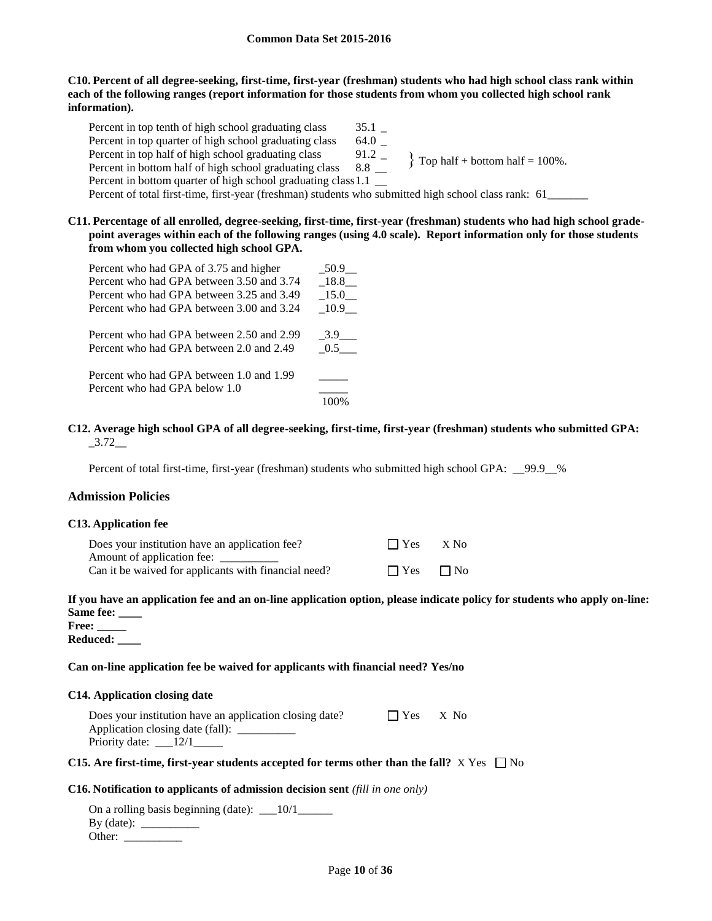#### **C10. Percent of all degree-seeking, first-time, first-year (freshman) students who had high school class rank within each of the following ranges (report information for those students from whom you collected high school rank information).**

Percent in top tenth of high school graduating class 35.1 \_ Percent in top quarter of high school graduating class 64.0 \_ Percent in top half of high school graduating class 91.2 \_ Percent in top half of high school graduating class Percent in bottom half of high school graduating class 8.8  $\_\_$ Percent in bottom quarter of high school graduating class 1.1 Percent of total first-time, first-year (freshman) students who submitted high school class rank: 61\_\_\_\_\_\_\_  $\{$  Top half + bottom half = 100%.

**C11. Percentage of all enrolled, degree-seeking, first-time, first-year (freshman) students who had high school gradepoint averages within each of the following ranges (using 4.0 scale). Report information only for those students from whom you collected high school GPA.**

| Percent who had GPA of 3.75 and higher    | 50.9 |
|-------------------------------------------|------|
| Percent who had GPA between 3.50 and 3.74 | 18.8 |
| Percent who had GPA between 3.25 and 3.49 | 15.0 |
| Percent who had GPA between 3.00 and 3.24 | 10.9 |
| Percent who had GPA between 2.50 and 2.99 | 3.9  |
| Percent who had GPA between 2.0 and 2.49  | 0.5  |
| Percent who had GPA between 1.0 and 1.99  |      |
| Percent who had GPA below 1.0             |      |
|                                           | 100% |

### **C12. Average high school GPA of all degree-seeking, first-time, first-year (freshman) students who submitted GPA:**  $-3.72$ <sub>—</sub>

Percent of total first-time, first-year (freshman) students who submitted high school GPA: 99.9\_%

#### **Admission Policies**

#### **C13. Application fee**

| Does your institution have an application fee?       | $\Box$ Yes | X No      |
|------------------------------------------------------|------------|-----------|
| Amount of application fee:                           |            |           |
| Can it be waived for applicants with financial need? | $\Box$ Yes | $\Box$ No |

## **If you have an application fee and an on-line application option, please indicate policy for students who apply on-line: Same fee: \_\_\_\_**

**Free: \_\_\_\_\_ Reduced: \_\_\_\_**

#### **Can on-line application fee be waived for applicants with financial need? Yes/no**

#### **C14. Application closing date**

| Does your institution have an application closing date? | $\Box$ Yes | $X$ No |
|---------------------------------------------------------|------------|--------|
| Application closing date (fall):                        |            |        |
| Priority date:                                          |            |        |

#### **C15.** Are first-time, first-year students accepted for terms other than the fall?  $X$  Yes  $\Box$  No

#### **C16. Notification to applicants of admission decision sent** *(fill in one only)*

| On a rolling basis beginning (date): $\_\_10/1$ |  |
|-------------------------------------------------|--|
| By (date): $\qquad \qquad \_$                   |  |
| Other:                                          |  |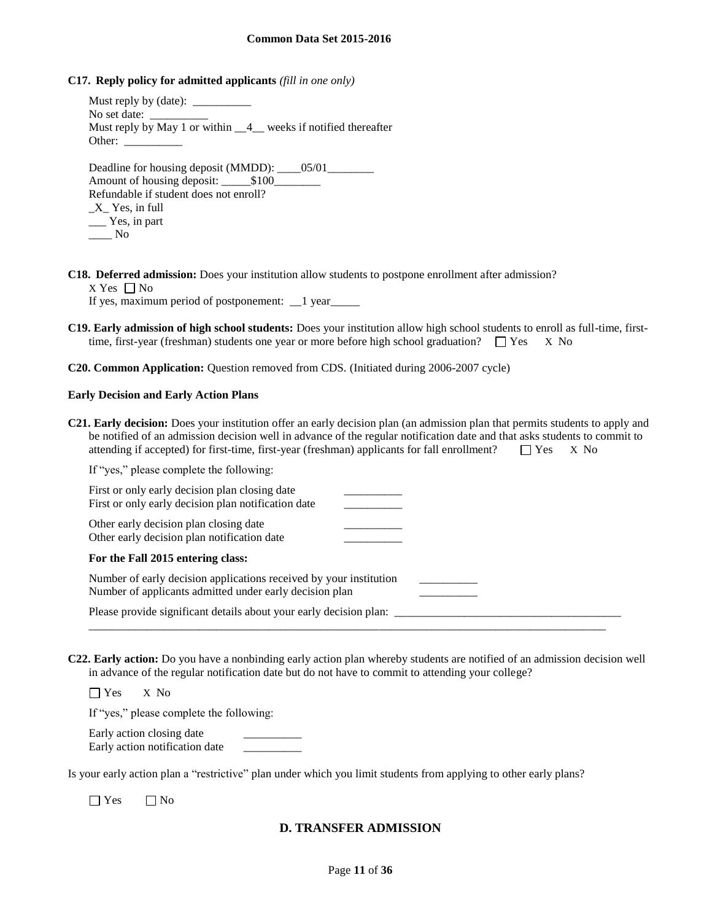**C17. Reply policy for admitted applicants** *(fill in one only)*

Must reply by (date): No set date: Must reply by May 1 or within  $\_\_4\_\_$  weeks if notified thereafter Other: Deadline for housing deposit (MMDD): \_\_\_\_05/01\_\_\_\_\_\_\_\_ Amount of housing deposit:  $$100$ Refundable if student does not enroll?

\_X\_ Yes, in full \_\_\_ Yes, in part  $\_\_\_\_\$  No

**C18. Deferred admission:** Does your institution allow students to postpone enrollment after admission?  $X$  Yes  $\Box$  No

If yes, maximum period of postponement:  $\angle$  1 year $\angle$ 

- **C19. Early admission of high school students:** Does your institution allow high school students to enroll as full-time, firsttime, first-year (freshman) students one year or more before high school graduation?  $\square$  Yes X No
- **C20. Common Application:** Question removed from CDS. (Initiated during 2006-2007 cycle)

#### **Early Decision and Early Action Plans**

**C21. Early decision:** Does your institution offer an early decision plan (an admission plan that permits students to apply and be notified of an admission decision well in advance of the regular notification date and that asks students to commit to attending if accepted) for first-time, first-year (freshman) applicants for fall enrollment?  $\square$  Yes X No

If "yes," please complete the following:

| First or only early decision plan closing date<br>First or only early decision plan notification date                         |  |
|-------------------------------------------------------------------------------------------------------------------------------|--|
| Other early decision plan closing date<br>Other early decision plan notification date                                         |  |
| For the Fall 2015 entering class:                                                                                             |  |
| Number of early decision applications received by your institution<br>Number of applicants admitted under early decision plan |  |
| Please provide significant details about your early decision plan:                                                            |  |

**C22. Early action:** Do you have a nonbinding early action plan whereby students are notified of an admission decision well in advance of the regular notification date but do not have to commit to attending your college?

Yes X No

If "yes," please complete the following:

Early action closing date Early action notification date \_\_\_\_\_\_\_\_\_\_

Is your early action plan a "restrictive" plan under which you limit students from applying to other early plans?

 $\Box$  Yes  $\Box$  No

## **D. TRANSFER ADMISSION**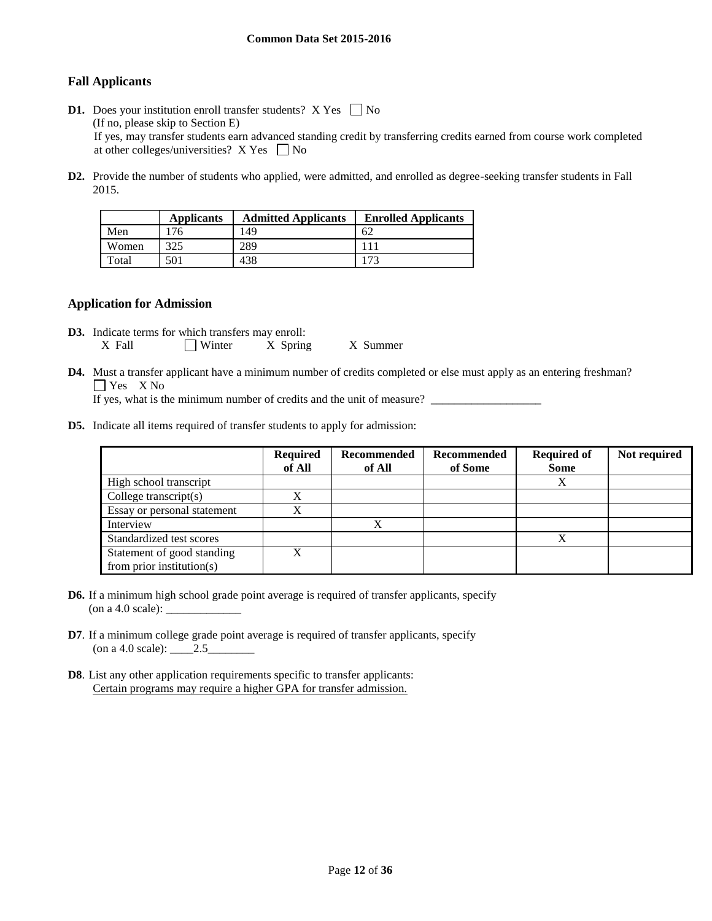## **Fall Applicants**

- **D1.** Does your institution enroll transfer students?  $X$  Yes  $\Box$  No (If no, please skip to Section E) If yes, may transfer students earn advanced standing credit by transferring credits earned from course work completed at other colleges/universities?  $X$  Yes  $\Box$  No
- **D2.** Provide the number of students who applied, were admitted, and enrolled as degree-seeking transfer students in Fall 2015.

|       | <b>Applicants</b> | <b>Admitted Applicants</b> | <b>Enrolled Applicants</b> |
|-------|-------------------|----------------------------|----------------------------|
| Men   |                   | 49                         | 62                         |
| Women | 325               | 289                        |                            |
| Total | 501               | 438                        | 173                        |

#### **Application for Admission**

- **D3.** Indicate terms for which transfers may enroll: X Fall  $\Box$  Winter X Spring X Summer
- **D4.** Must a transfer applicant have a minimum number of credits completed or else must apply as an entering freshman? Yes X No

If yes, what is the minimum number of credits and the unit of measure?

**D5.** Indicate all items required of transfer students to apply for admission:

|                               | <b>Required</b><br>of All | Recommended<br>of All | Recommended<br>of Some | <b>Required of</b><br><b>Some</b> | Not required |
|-------------------------------|---------------------------|-----------------------|------------------------|-----------------------------------|--------------|
| High school transcript        |                           |                       |                        | Χ                                 |              |
| College transcript $(s)$      | $\mathbf{v}$              |                       |                        |                                   |              |
| Essay or personal statement   | $\mathbf{v}$<br>Δ         |                       |                        |                                   |              |
| Interview                     |                           | X                     |                        |                                   |              |
| Standardized test scores      |                           |                       |                        | X                                 |              |
| Statement of good standing    | v                         |                       |                        |                                   |              |
| from prior institution( $s$ ) |                           |                       |                        |                                   |              |

- **D6.** If a minimum high school grade point average is required of transfer applicants, specify (on a 4.0 scale): \_\_\_\_\_\_\_\_\_\_\_\_\_
- **D7**. If a minimum college grade point average is required of transfer applicants, specify (on a 4.0 scale):  $\_\_2.5$
- **D8**. List any other application requirements specific to transfer applicants: Certain programs may require a higher GPA for transfer admission.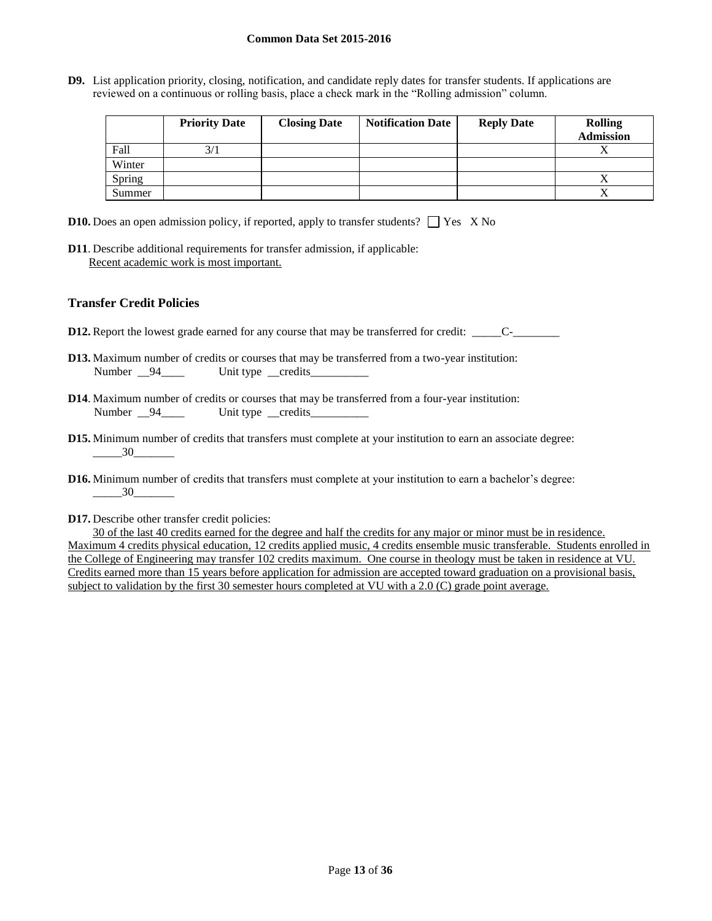**D9.** List application priority, closing, notification, and candidate reply dates for transfer students. If applications are reviewed on a continuous or rolling basis, place a check mark in the "Rolling admission" column.

|        | <b>Priority Date</b> | <b>Closing Date</b> | <b>Notification Date</b> | <b>Reply Date</b> | <b>Rolling</b><br><b>Admission</b> |
|--------|----------------------|---------------------|--------------------------|-------------------|------------------------------------|
| Fall   | 3/1                  |                     |                          |                   |                                    |
| Winter |                      |                     |                          |                   |                                    |
| Spring |                      |                     |                          |                   |                                    |
| Summer |                      |                     |                          |                   |                                    |

- **D10.** Does an open admission policy, if reported, apply to transfer students?  $\Box$  Yes X No
- **D11**. Describe additional requirements for transfer admission, if applicable: Recent academic work is most important.

## **Transfer Credit Policies**

- **D12.** Report the lowest grade earned for any course that may be transferred for credit: \_\_\_\_\_C-\_\_\_\_\_\_\_\_\_\_\_\_\_\_\_\_
- **D13.** Maximum number of credits or courses that may be transferred from a two-year institution: Number 94\_\_\_\_ Unit type credits
- **D14**. Maximum number of credits or courses that may be transferred from a four-year institution: Number \_\_94\_\_\_\_\_ Unit type \_\_credits\_\_\_\_\_\_\_\_\_
- **D15.** Minimum number of credits that transfers must complete at your institution to earn an associate degree:  $\frac{30}{}$
- **D16.** Minimum number of credits that transfers must complete at your institution to earn a bachelor's degree:  $-$  30
- **D17.** Describe other transfer credit policies:

30 of the last 40 credits earned for the degree and half the credits for any major or minor must be in residence. Maximum 4 credits physical education, 12 credits applied music, 4 credits ensemble music transferable. Students enrolled in the College of Engineering may transfer 102 credits maximum. One course in theology must be taken in residence at VU. Credits earned more than 15 years before application for admission are accepted toward graduation on a provisional basis, subject to validation by the first 30 semester hours completed at VU with a 2.0 (C) grade point average.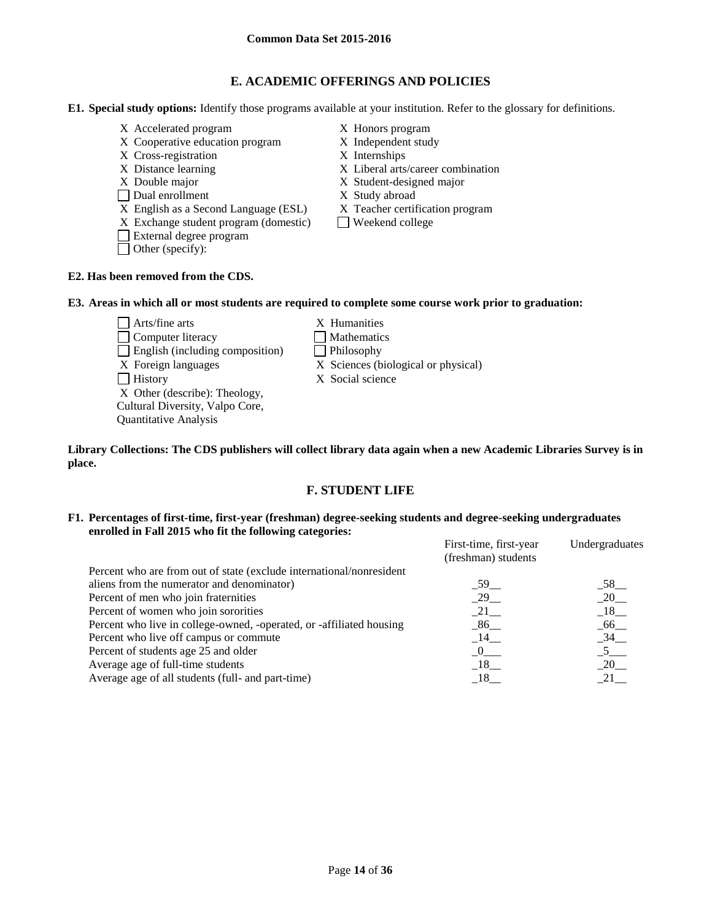## **E. ACADEMIC OFFERINGS AND POLICIES**

**E1. Special study options:** Identify those programs available at your institution. Refer to the glossary for definitions.

- X Accelerated program X Honors program
- X Cooperative education program X Independent study
- X Cross-registration X Internships
- 
- 
- 
- □ Dual enrollment X Study abroad<br>
X English as a Second Language (ESL) X Teacher certification program  $X$  English as a Second Language (ESL)
- $X$  Exchange student program (domestic)  $\Box$  Weekend college
- External degree program
- Other (specify):
- 
- 
- 
- X Distance learning X Liberal arts/career combination
- X Double major X Student-designed major
	-
	-
	-

## **E2. Has been removed from the CDS.**

## **E3. Areas in which all or most students are required to complete some course work prior to graduation:**

- $\Box$  Arts/fine arts  $X$  Humanities □ Computer literacy △ □ Mathematics  $\Box$  English (including composition)  $\Box$  Philosophy X Foreign languages X Sciences (biological or physical) History X Social science X Other (describe): Theology, Cultural Diversity, Valpo Core, Quantitative Analysis
	-
	-
	-
	-
	-

#### **Library Collections: The CDS publishers will collect library data again when a new Academic Libraries Survey is in place.**

## **F. STUDENT LIFE**

#### **F1. Percentages of first-time, first-year (freshman) degree-seeking students and degree-seeking undergraduates enrolled in Fall 2015 who fit the following categories:**

|                                                                      | First-time, first-year<br>(freshman) students | Undergraduates     |
|----------------------------------------------------------------------|-----------------------------------------------|--------------------|
| Percent who are from out of state (exclude international/nonresident |                                               |                    |
| aliens from the numerator and denominator)                           | 59                                            | $-58$              |
| Percent of men who join fraternities                                 | 29                                            | $-20$              |
| Percent of women who join sororities                                 | 21                                            | $-18$ <sub>—</sub> |
| Percent who live in college-owned, -operated, or -affiliated housing | $\_86$                                        | $-66$              |
| Percent who live off campus or commute                               | 14                                            | $-34$              |
| Percent of students age 25 and older                                 | $\overline{0}$                                | 5 <sup>5</sup>     |
| Average age of full-time students                                    | $-18$                                         | $-20$              |
| Average age of all students (full- and part-time)                    | 18                                            | 21                 |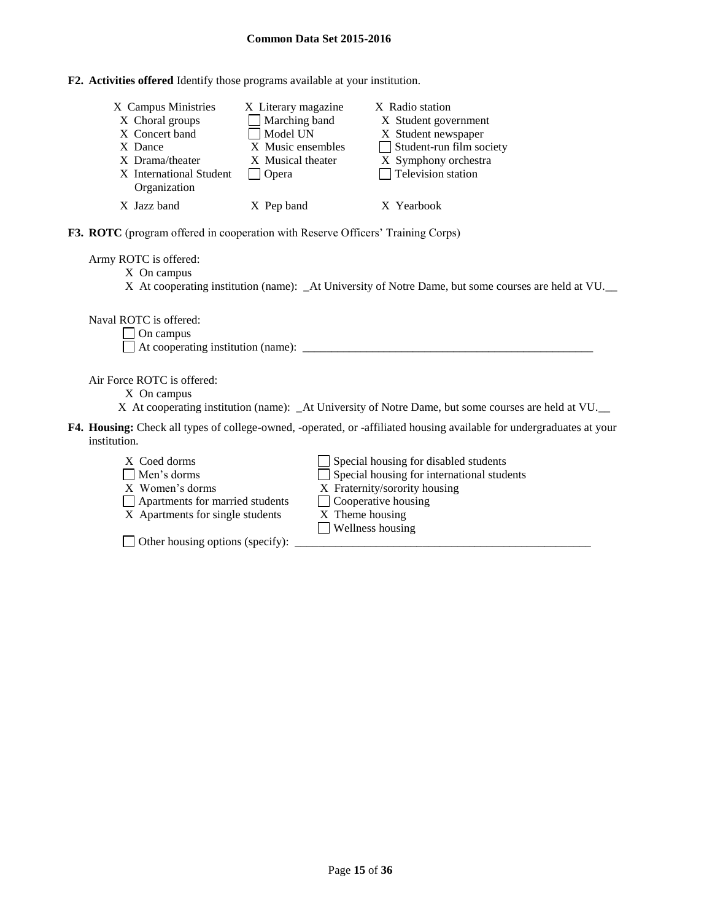**F2. Activities offered** Identify those programs available at your institution.

| X Campus Ministries<br>X Choral groups<br>X Concert band<br>X Dance<br>X Drama/theater<br>X International Student<br>Organization | X Literary magazine<br>Marching band<br>Model UN<br>X Music ensembles<br>X Musical theater<br>Opera | X Radio station<br>X Student government<br>X Student newspaper<br>Student-run film society<br>X Symphony orchestra<br>$\Box$ Television station |
|-----------------------------------------------------------------------------------------------------------------------------------|-----------------------------------------------------------------------------------------------------|-------------------------------------------------------------------------------------------------------------------------------------------------|
| X Jazz band                                                                                                                       | X Pep band                                                                                          | X Yearbook                                                                                                                                      |

**F3. ROTC** (program offered in cooperation with Reserve Officers' Training Corps)

Army ROTC is offered:

X On campus

X At cooperating institution (name): \_At University of Notre Dame, but some courses are held at VU.\_\_

Naval ROTC is offered:

 $\Box$  On campus

 $\Box$  At cooperating institution (name):

Air Force ROTC is offered:

- X On campus
- X At cooperating institution (name): \_At University of Notre Dame, but some courses are held at VU.
- **F4. Housing:** Check all types of college-owned, -operated, or -affiliated housing available for undergraduates at your institution.
	- $X$  Coed dorms  $\Box$  Special housing for disabled students Men's dorms Special housing for international students X Women's dorms X Fraternity/sorority housing  $\Box$  Apartments for married students  $\Box$  Cooperative housing X Apartments for single students X Theme housing Wellness housing

 $\Box$  Other housing options (specify):  $\Box$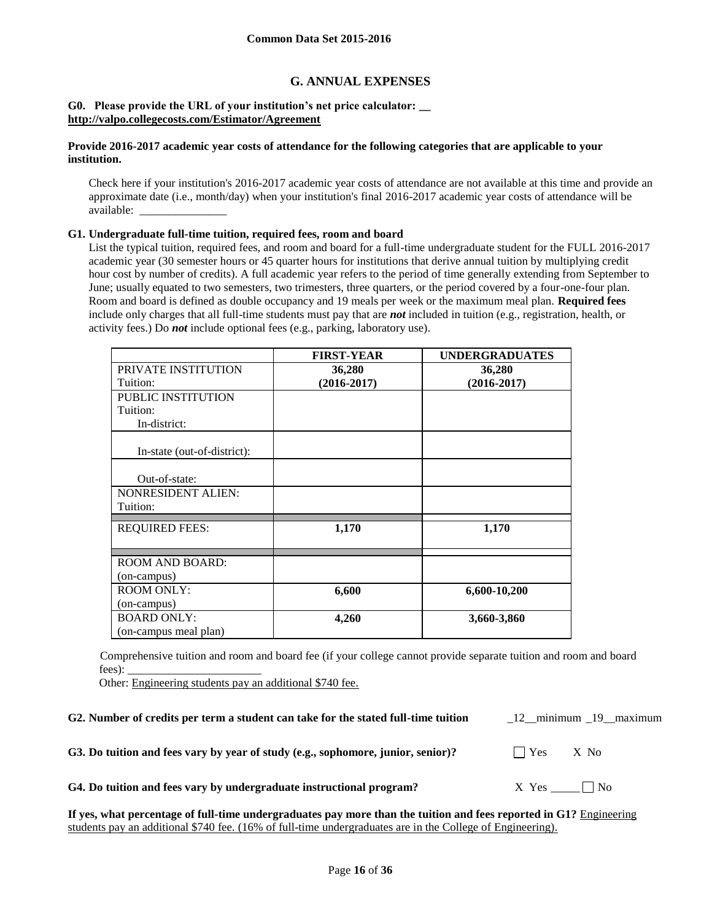## **G. ANNUAL EXPENSES**

#### **G0. Please provide the URL of your institution's net price calculator: \_\_ <http://valpo.collegecosts.com/Estimator/Agreement>**

### **Provide 2016-2017 academic year costs of attendance for the following categories that are applicable to your institution.**

Check here if your institution's 2016-2017 academic year costs of attendance are not available at this time and provide an approximate date (i.e., month/day) when your institution's final 2016-2017 academic year costs of attendance will be available: \_\_\_\_\_\_\_\_\_\_\_\_\_\_\_

#### **G1. Undergraduate full-time tuition, required fees, room and board**

List the typical tuition, required fees, and room and board for a full-time undergraduate student for the FULL 2016-2017 academic year (30 semester hours or 45 quarter hours for institutions that derive annual tuition by multiplying credit hour cost by number of credits). A full academic year refers to the period of time generally extending from September to June; usually equated to two semesters, two trimesters, three quarters, or the period covered by a four-one-four plan. Room and board is defined as double occupancy and 19 meals per week or the maximum meal plan. **Required fees** include only charges that all full-time students must pay that are *not* included in tuition (e.g., registration, health, or activity fees.) Do *not* include optional fees (e.g., parking, laboratory use).

|                             | <b>FIRST-YEAR</b> | <b>UNDERGRADUATES</b> |
|-----------------------------|-------------------|-----------------------|
| PRIVATE INSTITUTION         | 36,280            | 36,280                |
| Tuition:                    | $(2016 - 2017)$   | $(2016 - 2017)$       |
| <b>PUBLIC INSTITUTION</b>   |                   |                       |
| Tuition:                    |                   |                       |
| In-district:                |                   |                       |
| In-state (out-of-district): |                   |                       |
|                             |                   |                       |
| Out-of-state:               |                   |                       |
| <b>NONRESIDENT ALIEN:</b>   |                   |                       |
| Tuition:                    |                   |                       |
| <b>REQUIRED FEES:</b>       | 1,170             | 1,170                 |
| <b>ROOM AND BOARD:</b>      |                   |                       |
| (on-campus)                 |                   |                       |
| <b>ROOM ONLY:</b>           | 6,600             | 6,600-10,200          |
| (on-campus)                 |                   |                       |
| <b>BOARD ONLY:</b>          | 4,260             | 3,660-3,860           |
| (on-campus meal plan)       |                   |                       |

Comprehensive tuition and room and board fee (if your college cannot provide separate tuition and room and board fees):

Other: Engineering students pay an additional \$740 fee.

|  |  | G2. Number of credits per term a student can take for the stated full-time tuition |  |
|--|--|------------------------------------------------------------------------------------|--|
|--|--|------------------------------------------------------------------------------------|--|

12 minimum 19 maximum

**G3.** Do tuition and fees vary by year of study (e.g., sophomore, junior, senior)?  $\Box$  Yes X No

**G4. Do tuition and fees vary by undergraduate instructional program?** X Yes \_\_\_\_\_ No

**If yes, what percentage of full-time undergraduates pay more than the tuition and fees reported in G1?** Engineering students pay an additional \$740 fee. (16% of full-time undergraduates are in the College of Engineering).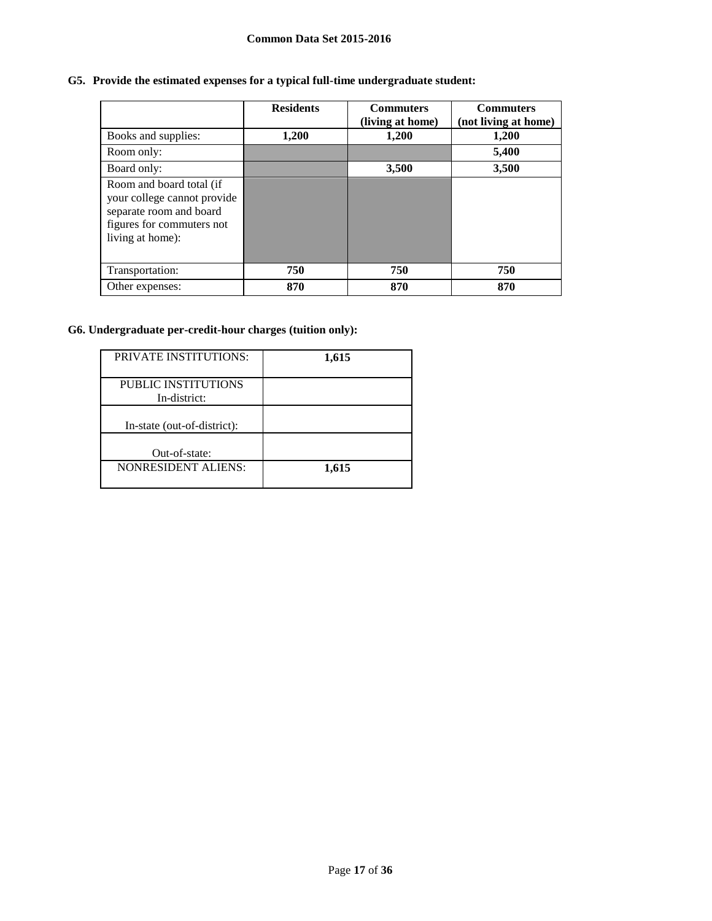# **G5. Provide the estimated expenses for a typical full-time undergraduate student:**

|                                                                                                                                     | <b>Residents</b> | <b>Commuters</b><br>(living at home) | <b>Commuters</b><br>(not living at home) |
|-------------------------------------------------------------------------------------------------------------------------------------|------------------|--------------------------------------|------------------------------------------|
| Books and supplies:                                                                                                                 | 1,200            | 1,200                                | 1,200                                    |
| Room only:                                                                                                                          |                  |                                      | 5,400                                    |
| Board only:                                                                                                                         |                  | 3,500                                | 3,500                                    |
| Room and board total (if<br>your college cannot provide<br>separate room and board<br>figures for commuters not<br>living at home): |                  |                                      |                                          |
| Transportation:                                                                                                                     | 750              | 750                                  | 750                                      |
| Other expenses:                                                                                                                     | 870              | 870                                  | 870                                      |

# **G6. Undergraduate per-credit-hour charges (tuition only):**

| <b>PRIVATE INSTITUTIONS:</b> | 1,615 |
|------------------------------|-------|
| PUBLIC INSTITUTIONS          |       |
| In-district:                 |       |
| In-state (out-of-district):  |       |
| Out-of-state:                |       |
| <b>NONRESIDENT ALIENS:</b>   | 1,615 |
|                              |       |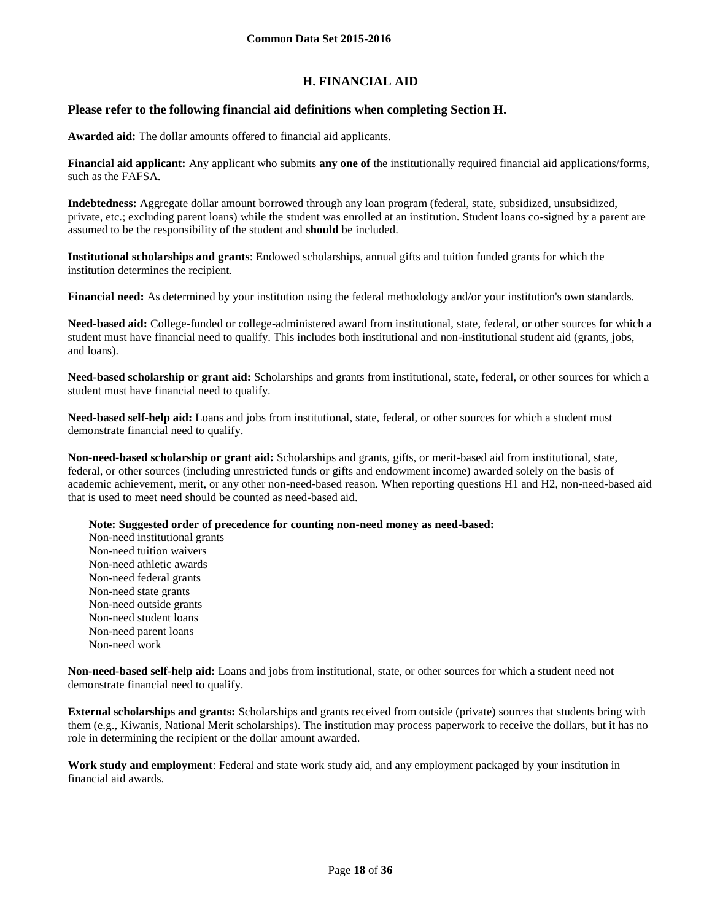## **H. FINANCIAL AID**

## **Please refer to the following financial aid definitions when completing Section H.**

**Awarded aid:** The dollar amounts offered to financial aid applicants.

**Financial aid applicant:** Any applicant who submits **any one of** the institutionally required financial aid applications/forms, such as the FAFSA.

**Indebtedness:** Aggregate dollar amount borrowed through any loan program (federal, state, subsidized, unsubsidized, private, etc.; excluding parent loans) while the student was enrolled at an institution. Student loans co-signed by a parent are assumed to be the responsibility of the student and **should** be included.

**Institutional scholarships and grants**: Endowed scholarships, annual gifts and tuition funded grants for which the institution determines the recipient.

**Financial need:** As determined by your institution using the federal methodology and/or your institution's own standards.

**Need-based aid:** College-funded or college-administered award from institutional, state, federal, or other sources for which a student must have financial need to qualify. This includes both institutional and non-institutional student aid (grants, jobs, and loans).

**Need-based scholarship or grant aid:** Scholarships and grants from institutional, state, federal, or other sources for which a student must have financial need to qualify.

**Need-based self-help aid:** Loans and jobs from institutional, state, federal, or other sources for which a student must demonstrate financial need to qualify.

**Non-need-based scholarship or grant aid:** Scholarships and grants, gifts, or merit-based aid from institutional, state, federal, or other sources (including unrestricted funds or gifts and endowment income) awarded solely on the basis of academic achievement, merit, or any other non-need-based reason. When reporting questions H1 and H2, non-need-based aid that is used to meet need should be counted as need-based aid.

**Note: Suggested order of precedence for counting non-need money as need-based:**

Non-need institutional grants Non-need tuition waivers Non-need athletic awards Non-need federal grants Non-need state grants Non-need outside grants Non-need student loans Non-need parent loans Non-need work

**Non-need-based self-help aid:** Loans and jobs from institutional, state, or other sources for which a student need not demonstrate financial need to qualify.

**External scholarships and grants:** Scholarships and grants received from outside (private) sources that students bring with them (e.g., Kiwanis, National Merit scholarships). The institution may process paperwork to receive the dollars, but it has no role in determining the recipient or the dollar amount awarded.

**Work study and employment**: Federal and state work study aid, and any employment packaged by your institution in financial aid awards.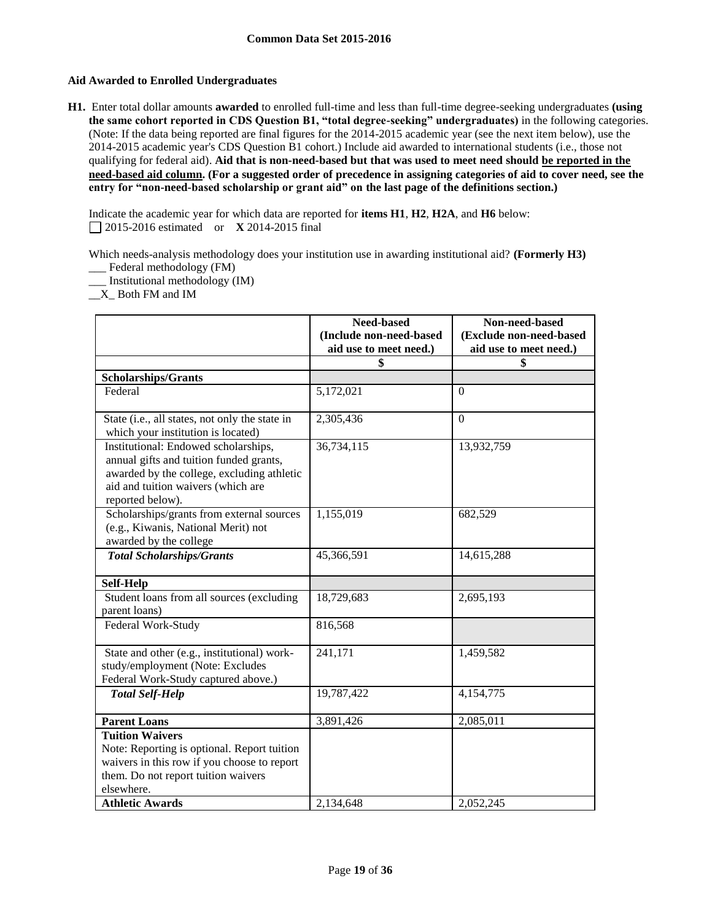## **Aid Awarded to Enrolled Undergraduates**

**H1.** Enter total dollar amounts **awarded** to enrolled full-time and less than full-time degree-seeking undergraduates **(using the same cohort reported in CDS Question B1, "total degree-seeking" undergraduates)** in the following categories. (Note: If the data being reported are final figures for the 2014-2015 academic year (see the next item below), use the 2014-2015 academic year's CDS Question B1 cohort.) Include aid awarded to international students (i.e., those not qualifying for federal aid). **Aid that is non-need-based but that was used to meet need should be reported in the need-based aid column. (For a suggested order of precedence in assigning categories of aid to cover need, see the entry for "non-need-based scholarship or grant aid" on the last page of the definitions section.)**

Indicate the academic year for which data are reported for **items H1**, **H2**, **H2A**, and **H6** below: 2015-2016 estimated or **X** 2014-2015 final

Which needs-analysis methodology does your institution use in awarding institutional aid? **(Formerly H3)** \_\_\_ Federal methodology (FM)

\_\_\_ Institutional methodology (IM)

\_\_X\_ Both FM and IM

|                                                                                                                                                                                         | Need-based<br>(Include non-need-based | Non-need-based<br>(Exclude non-need-based |
|-----------------------------------------------------------------------------------------------------------------------------------------------------------------------------------------|---------------------------------------|-------------------------------------------|
|                                                                                                                                                                                         | aid use to meet need.)                | aid use to meet need.)                    |
|                                                                                                                                                                                         | \$                                    | \$                                        |
| <b>Scholarships/Grants</b>                                                                                                                                                              |                                       |                                           |
| Federal                                                                                                                                                                                 | 5,172,021                             | $\mathbf{0}$                              |
| State (i.e., all states, not only the state in<br>which your institution is located)                                                                                                    | 2,305,436                             | $\Omega$                                  |
| Institutional: Endowed scholarships,<br>annual gifts and tuition funded grants,<br>awarded by the college, excluding athletic<br>aid and tuition waivers (which are<br>reported below). | 36,734,115                            | 13,932,759                                |
| Scholarships/grants from external sources<br>(e.g., Kiwanis, National Merit) not<br>awarded by the college                                                                              | 1,155,019                             | 682,529                                   |
| <b>Total Scholarships/Grants</b>                                                                                                                                                        | 45,366,591                            | 14,615,288                                |
| <b>Self-Help</b>                                                                                                                                                                        |                                       |                                           |
| Student loans from all sources (excluding<br>parent loans)                                                                                                                              | 18,729,683                            | 2,695,193                                 |
| Federal Work-Study                                                                                                                                                                      | 816,568                               |                                           |
| State and other (e.g., institutional) work-<br>study/employment (Note: Excludes<br>Federal Work-Study captured above.)                                                                  | 241,171                               | 1,459,582                                 |
| <b>Total Self-Help</b>                                                                                                                                                                  | 19,787,422                            | 4,154,775                                 |
| <b>Parent Loans</b>                                                                                                                                                                     | 3,891,426                             | 2,085,011                                 |
| <b>Tuition Waivers</b><br>Note: Reporting is optional. Report tuition<br>waivers in this row if you choose to report<br>them. Do not report tuition waivers<br>elsewhere.               |                                       |                                           |
| <b>Athletic Awards</b>                                                                                                                                                                  | 2,134,648                             | 2,052,245                                 |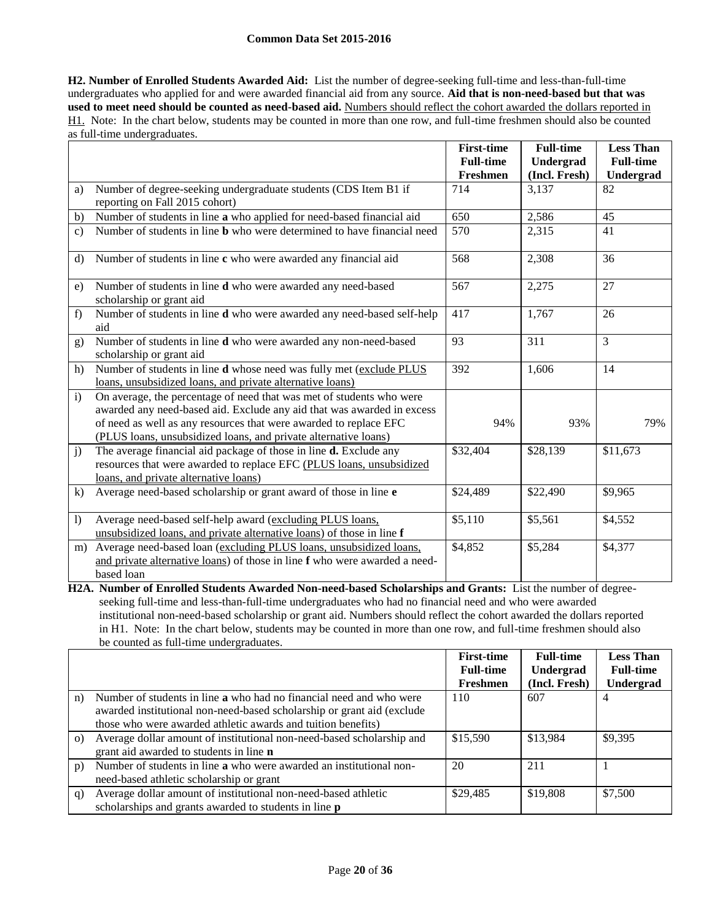**H2. Number of Enrolled Students Awarded Aid:** List the number of degree-seeking full-time and less-than-full-time undergraduates who applied for and were awarded financial aid from any source. **Aid that is non-need-based but that was used to meet need should be counted as need-based aid.** Numbers should reflect the cohort awarded the dollars reported in H1. Note: In the chart below, students may be counted in more than one row, and full-time freshmen should also be counted as full-time undergraduates.

|                |                                                                                                                                                                | <b>First-time</b> | <b>Full-time</b> | <b>Less Than</b> |
|----------------|----------------------------------------------------------------------------------------------------------------------------------------------------------------|-------------------|------------------|------------------|
|                |                                                                                                                                                                | <b>Full-time</b>  | Undergrad        | <b>Full-time</b> |
|                |                                                                                                                                                                | Freshmen          | (Incl. Fresh)    | Undergrad        |
| a)             | Number of degree-seeking undergraduate students (CDS Item B1 if                                                                                                | 714               | 3,137            | 82               |
|                | reporting on Fall 2015 cohort)                                                                                                                                 |                   |                  |                  |
| b)             | Number of students in line a who applied for need-based financial aid                                                                                          | 650               | 2,586            | 45               |
| $\mathbf{c}$ ) | Number of students in line <b>b</b> who were determined to have financial need                                                                                 | 570               | 2,315            | 41               |
| d)             | Number of students in line c who were awarded any financial aid                                                                                                | 568               | 2,308            | 36               |
| e)             | Number of students in line <b>d</b> who were awarded any need-based<br>scholarship or grant aid                                                                | 567               | 2,275            | 27               |
| f)             | Number of students in line d who were awarded any need-based self-help<br>aid                                                                                  | 417               | 1,767            | 26               |
| g)             | Number of students in line d who were awarded any non-need-based<br>scholarship or grant aid                                                                   | 93                | 311              | $\overline{3}$   |
| h)             | Number of students in line <b>d</b> whose need was fully met (exclude PLUS<br>loans, unsubsidized loans, and private alternative loans)                        | 392               | 1,606            | 14               |
| $\mathbf{i}$   | On average, the percentage of need that was met of students who were                                                                                           |                   |                  |                  |
|                | awarded any need-based aid. Exclude any aid that was awarded in excess                                                                                         |                   |                  |                  |
|                | of need as well as any resources that were awarded to replace EFC                                                                                              | 94%               | 93%              | 79%              |
|                | (PLUS loans, unsubsidized loans, and private alternative loans)                                                                                                |                   |                  |                  |
| $\mathbf{j}$   | The average financial aid package of those in line <b>d.</b> Exclude any                                                                                       | \$32,404          | \$28,139         | \$11,673         |
|                | resources that were awarded to replace EFC (PLUS loans, unsubsidized                                                                                           |                   |                  |                  |
|                | loans, and private alternative loans)                                                                                                                          |                   |                  |                  |
| $\bf k)$       | Average need-based scholarship or grant award of those in line e                                                                                               | \$24,489          | \$22,490         | \$9,965          |
| $\overline{1}$ | Average need-based self-help award (excluding PLUS loans,<br>unsubsidized loans, and private alternative loans) of those in line f                             | \$5,110           | \$5,561          | \$4,552          |
| m)             | Average need-based loan (excluding PLUS loans, unsubsidized loans,<br>and private alternative loans) of those in line f who were awarded a need-<br>based loan | \$4,852           | \$5,284          | \$4,377          |

**H2A. Number of Enrolled Students Awarded Non-need-based Scholarships and Grants:** List the number of degreeseeking full-time and less-than-full-time undergraduates who had no financial need and who were awarded institutional non-need-based scholarship or grant aid. Numbers should reflect the cohort awarded the dollars reported in H1. Note: In the chart below, students may be counted in more than one row, and full-time freshmen should also be counted as full-time undergraduates.

|           |                                                                            | <b>First-time</b> | <b>Full-time</b> | <b>Less Than</b> |
|-----------|----------------------------------------------------------------------------|-------------------|------------------|------------------|
|           |                                                                            | <b>Full-time</b>  | Undergrad        | <b>Full-time</b> |
|           |                                                                            | Freshmen          | (Incl. Fresh)    | Undergrad        |
| n)        | Number of students in line <b>a</b> who had no financial need and who were | 110               | 607              | 4                |
|           | awarded institutional non-need-based scholarship or grant aid (exclude     |                   |                  |                  |
|           | those who were awarded athletic awards and tuition benefits)               |                   |                  |                  |
| $\circ$ ) | Average dollar amount of institutional non-need-based scholarship and      | \$15,590          | \$13,984         | \$9,395          |
|           | grant aid awarded to students in line n                                    |                   |                  |                  |
| p)        | Number of students in line a who were awarded an institutional non-        | 20                | 211              |                  |
|           | need-based athletic scholarship or grant                                   |                   |                  |                  |
| q)        | Average dollar amount of institutional non-need-based athletic             | \$29,485          | \$19,808         | \$7,500          |
|           | scholarships and grants awarded to students in line <b>p</b>               |                   |                  |                  |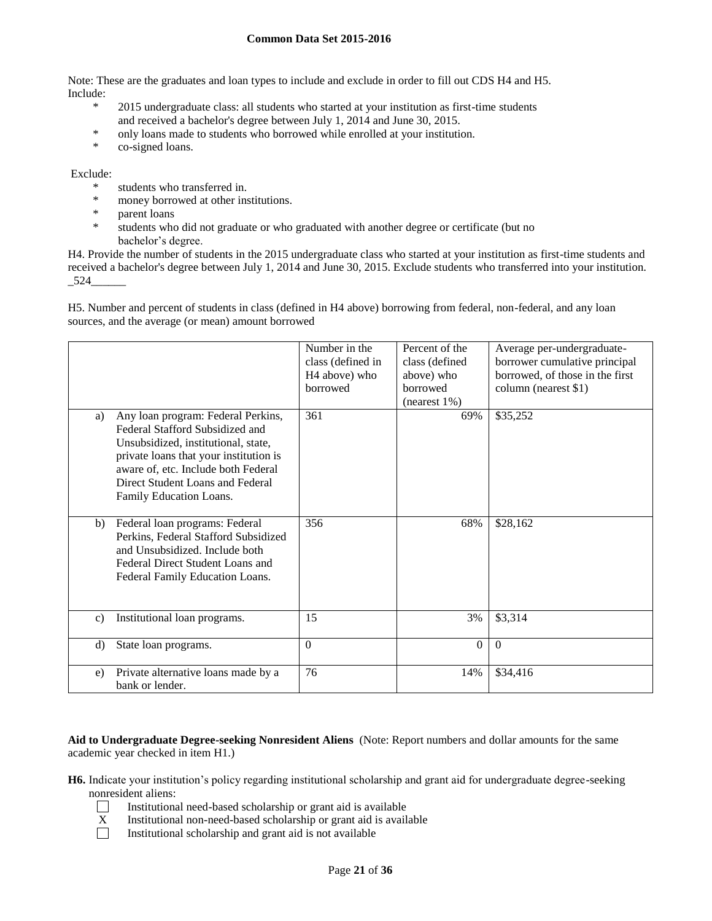Note: These are the graduates and loan types to include and exclude in order to fill out CDS H4 and H5. Include:

- \* 2015 undergraduate class: all students who started at your institution as first-time students and received a bachelor's degree between July 1, 2014 and June 30, 2015.
- \* only loans made to students who borrowed while enrolled at your institution.
- co-signed loans.

### Exclude:

- \* students who transferred in.<br>\* money berrowed at other in
- \* money borrowed at other institutions.
- \* parent loans
- students who did not graduate or who graduated with another degree or certificate (but no bachelor's degree.

H4. Provide the number of students in the 2015 undergraduate class who started at your institution as first-time students and received a bachelor's degree between July 1, 2014 and June 30, 2015. Exclude students who transferred into your institution.  $-524$ 

H5. Number and percent of students in class (defined in H4 above) borrowing from federal, non-federal, and any loan sources, and the average (or mean) amount borrowed

|                |                                                                                                                                                                                                                                                              | Number in the<br>class (defined in<br>H <sub>4</sub> above) who<br>borrowed | Percent of the<br>class (defined<br>above) who<br><b>borrowed</b><br>$(n \text{earest } 1\%)$ | Average per-undergraduate-<br>borrower cumulative principal<br>borrowed, of those in the first<br>column (nearest \$1) |
|----------------|--------------------------------------------------------------------------------------------------------------------------------------------------------------------------------------------------------------------------------------------------------------|-----------------------------------------------------------------------------|-----------------------------------------------------------------------------------------------|------------------------------------------------------------------------------------------------------------------------|
| a)             | Any loan program: Federal Perkins,<br>Federal Stafford Subsidized and<br>Unsubsidized, institutional, state,<br>private loans that your institution is<br>aware of, etc. Include both Federal<br>Direct Student Loans and Federal<br>Family Education Loans. | 361                                                                         | 69%                                                                                           | \$35,252                                                                                                               |
| b)             | Federal loan programs: Federal<br>Perkins, Federal Stafford Subsidized<br>and Unsubsidized. Include both<br>Federal Direct Student Loans and<br>Federal Family Education Loans.                                                                              | 356                                                                         | 68%                                                                                           | \$28,162                                                                                                               |
| $\mathbf{c}$ ) | Institutional loan programs.                                                                                                                                                                                                                                 | 15                                                                          | 3%                                                                                            | \$3,314                                                                                                                |
| d)             | State loan programs.                                                                                                                                                                                                                                         | $\theta$                                                                    | $\theta$                                                                                      | $\Omega$                                                                                                               |
| e)             | Private alternative loans made by a<br>bank or lender.                                                                                                                                                                                                       | 76                                                                          | 14%                                                                                           | \$34,416                                                                                                               |

**Aid to Undergraduate Degree-seeking Nonresident Aliens** (Note: Report numbers and dollar amounts for the same academic year checked in item H1.)

**H6.** Indicate your institution's policy regarding institutional scholarship and grant aid for undergraduate degree-seeking nonresident aliens:

- $\mathcal{L}$ Institutional need-based scholarship or grant aid is available
- $X$  Institutional non-need-based scholarship or grant aid is available<br>Institutional scholarship and grant aid is not available
- Institutional scholarship and grant aid is not available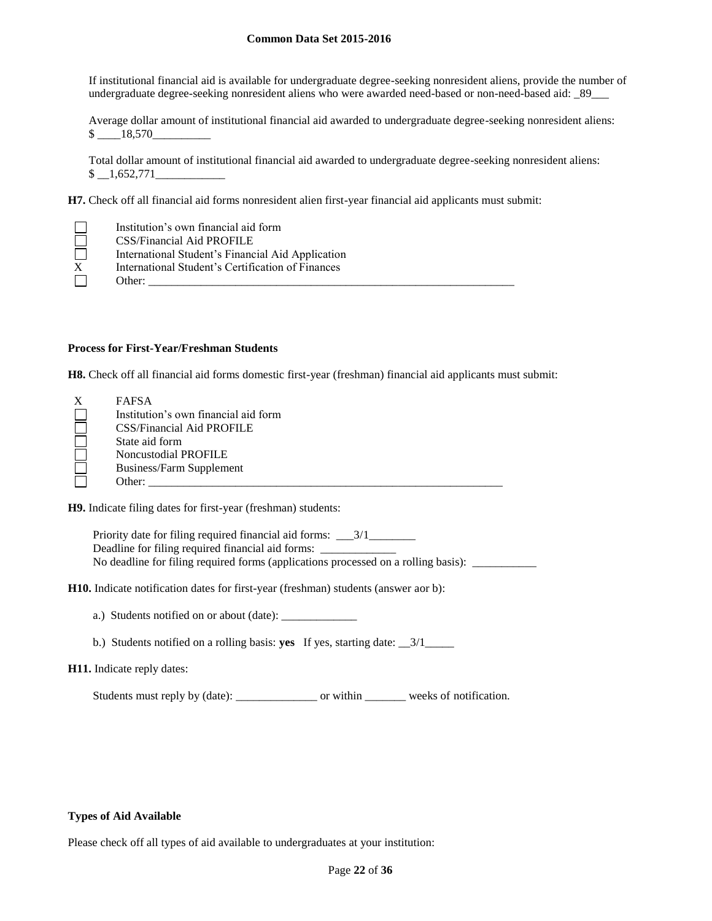If institutional financial aid is available for undergraduate degree-seeking nonresident aliens, provide the number of undergraduate degree-seeking nonresident aliens who were awarded need-based or non-need-based aid: \_89\_\_\_

Average dollar amount of institutional financial aid awarded to undergraduate degree-seeking nonresident aliens: \$ \_\_\_\_18,570\_\_\_\_\_\_\_\_\_\_

Total dollar amount of institutional financial aid awarded to undergraduate degree-seeking nonresident aliens:  $$ \quad 1,652,771$ 

**H7.** Check off all financial aid forms nonresident alien first-year financial aid applicants must submit:

| Institution's own financial aid form              |
|---------------------------------------------------|
| <b>CSS/Financial Aid PROFILE</b>                  |
| International Student's Financial Aid Application |
| International Student's Certification of Finances |
| Other:                                            |

#### **Process for First-Year/Freshman Students**

**H8.** Check off all financial aid forms domestic first-year (freshman) financial aid applicants must submit:

| X | <b>FAFSA</b>                         |
|---|--------------------------------------|
|   | Institution's own financial aid form |
|   | CSS/Financial Aid PROFILE            |
|   | State aid form                       |
|   | Noncustodial PROFILE                 |
|   | Business/Farm Supplement             |
|   | Other:                               |

**H9.** Indicate filing dates for first-year (freshman) students:

Priority date for filing required financial aid forms: \_\_\_3/1\_\_\_\_\_\_\_\_\_\_\_\_\_\_\_\_\_\_\_\_ Deadline for filing required financial aid forms: \_\_\_\_\_\_\_\_\_\_\_\_\_\_\_\_\_\_\_\_\_\_\_\_\_\_\_\_\_\_\_ No deadline for filing required forms (applications processed on a rolling basis): \_\_\_\_\_\_\_\_\_\_\_

**H10.** Indicate notification dates for first-year (freshman) students (answer aor b):

- a.) Students notified on or about (date): \_\_\_\_\_\_\_\_\_\_\_\_\_
- b.) Students notified on a rolling basis: **yes** If yes, starting date: \_\_3/1\_\_\_\_\_

## **H11.** Indicate reply dates:

Students must reply by (date): \_\_\_\_\_\_\_\_\_\_\_\_\_\_ or within \_\_\_\_\_\_\_ weeks of notification.

#### **Types of Aid Available**

Please check off all types of aid available to undergraduates at your institution: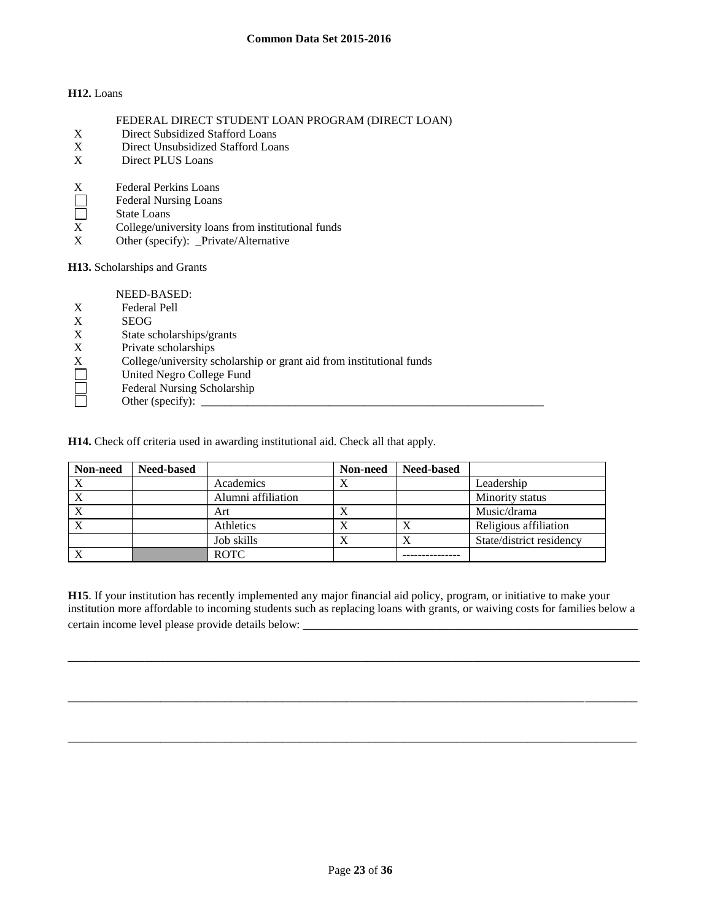## **H12.** Loans

|  |  |  | FEDERAL DIRECT STUDENT LOAN PROGRAM (DIRECT LOAN) |  |
|--|--|--|---------------------------------------------------|--|
|  |  |  |                                                   |  |

- X Direct Subsidized Stafford Loans<br>X Direct Unsubsidized Stafford Loa
- Direct Unsubsidized Stafford Loans
- X Direct PLUS Loans
- X Federal Perkins Loans
- $\Box$ Federal Nursing Loans
- $\Box$ State Loans
- X College/university loans from institutional funds
- X Other (specify): \_Private/Alternative

**H13.** Scholarships and Grants

NEED-BASED:

- X Federal Pell
- X SEOG
- X State scholarships/grants
- X Private scholarships<br>X College/university sc
- X College/university scholarship or grant aid from institutional funds<br>
United Negro College Fund<br>
Federal Nursing Scholarship<br>
Other (specify):
- United Negro College Fund
- Federal Nursing Scholarship
- Other (specify):  $\_\_$

**H14.** Check off criteria used in awarding institutional aid. Check all that apply.

| Non-need     | <b>Need-based</b> |                    | Non-need | <b>Need-based</b> |                          |
|--------------|-------------------|--------------------|----------|-------------------|--------------------------|
| $\mathbf{v}$ |                   | Academics          | Δ        |                   | Leadership               |
|              |                   | Alumni affiliation |          |                   | Minority status          |
|              |                   | Art                |          |                   | Music/drama              |
|              |                   | Athletics          |          | $\Lambda$         | Religious affiliation    |
|              |                   | Job skills         | Λ        |                   | State/district residency |
|              |                   | <b>ROTC</b>        |          |                   |                          |

**H15**. If your institution has recently implemented any major financial aid policy, program, or initiative to make your institution more affordable to incoming students such as replacing loans with grants, or waiving costs for families below a certain income level please provide details below:

\_\_\_\_\_\_\_\_\_\_\_\_\_\_\_\_\_\_\_\_\_\_\_\_\_\_\_\_\_\_\_\_\_\_\_\_\_\_\_\_\_\_\_\_\_\_\_\_\_\_\_\_\_\_\_\_\_\_\_\_\_\_\_\_\_\_\_\_\_\_\_\_\_\_\_\_\_\_\_\_\_\_

\_\_\_\_\_\_\_\_\_\_\_\_\_\_\_\_\_\_\_\_\_\_\_\_\_\_\_\_\_\_\_\_\_\_\_\_\_\_\_\_\_\_\_\_\_\_\_\_\_\_\_\_\_\_\_\_\_\_\_\_\_\_\_\_\_\_\_\_\_\_\_\_\_\_\_\_\_\_\_\_\_\_\_\_\_\_\_\_\_\_\_\_\_\_\_\_\_\_

\_\_\_\_\_\_\_\_\_\_\_\_\_\_\_\_\_\_\_\_\_\_\_\_\_\_\_\_\_\_\_\_\_\_\_\_\_\_\_\_\_\_\_\_\_\_\_\_\_\_\_\_\_\_\_\_\_\_\_\_\_\_\_\_\_\_\_\_\_\_\_\_\_\_\_\_\_\_\_\_\_\_\_\_\_\_\_\_\_\_\_\_\_\_\_\_\_\_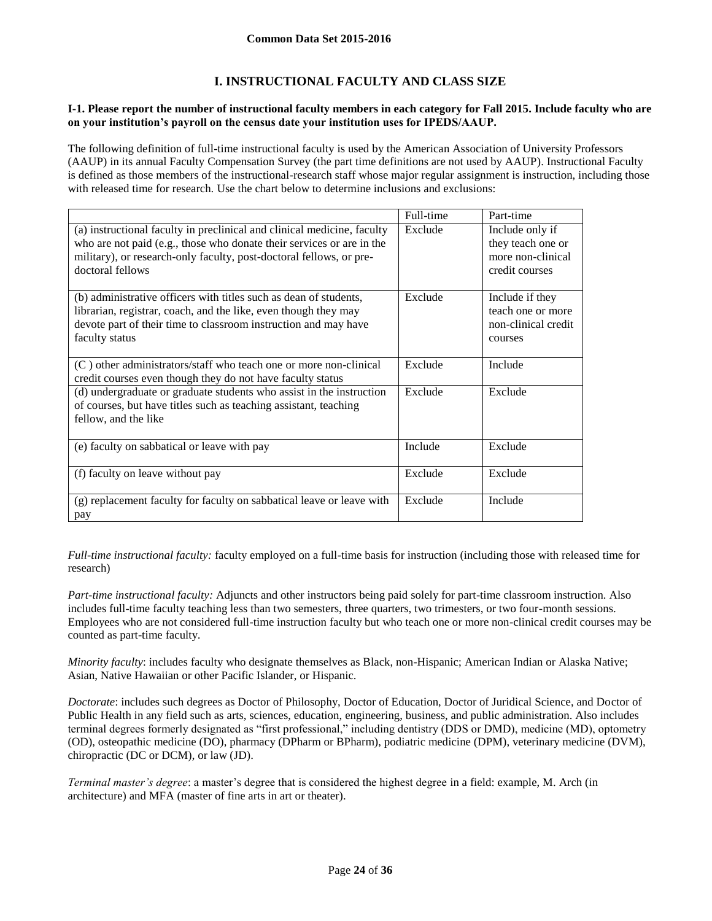## **I. INSTRUCTIONAL FACULTY AND CLASS SIZE**

#### **I-1. Please report the number of instructional faculty members in each category for Fall 2015. Include faculty who are on your institution's payroll on the census date your institution uses for IPEDS/AAUP.**

The following definition of full-time instructional faculty is used by the American Association of University Professors (AAUP) in its annual Faculty Compensation Survey (the part time definitions are not used by AAUP). Instructional Faculty is defined as those members of the instructional-research staff whose major regular assignment is instruction, including those with released time for research. Use the chart below to determine inclusions and exclusions:

|                                                                                                                                                                                                                                             | Full-time | Part-time                                                                   |
|---------------------------------------------------------------------------------------------------------------------------------------------------------------------------------------------------------------------------------------------|-----------|-----------------------------------------------------------------------------|
| (a) instructional faculty in preclinical and clinical medicine, faculty<br>who are not paid (e.g., those who donate their services or are in the<br>military), or research-only faculty, post-doctoral fellows, or pre-<br>doctoral fellows | Exclude   | Include only if<br>they teach one or<br>more non-clinical<br>credit courses |
| (b) administrative officers with titles such as dean of students,<br>librarian, registrar, coach, and the like, even though they may<br>devote part of their time to classroom instruction and may have<br>faculty status                   | Exclude   | Include if they<br>teach one or more<br>non-clinical credit<br>courses      |
| (C) other administrators/staff who teach one or more non-clinical<br>credit courses even though they do not have faculty status                                                                                                             | Exclude   | Include                                                                     |
| (d) undergraduate or graduate students who assist in the instruction<br>of courses, but have titles such as teaching assistant, teaching<br>fellow, and the like                                                                            | Exclude   | Exclude                                                                     |
| (e) faculty on sabbatical or leave with pay                                                                                                                                                                                                 | Include   | Exclude                                                                     |
| (f) faculty on leave without pay                                                                                                                                                                                                            | Exclude   | Exclude                                                                     |
| (g) replacement faculty for faculty on sabbatical leave or leave with<br>pay                                                                                                                                                                | Exclude   | Include                                                                     |

*Full-time instructional faculty:* faculty employed on a full-time basis for instruction (including those with released time for research)

*Part-time instructional faculty:* Adjuncts and other instructors being paid solely for part-time classroom instruction. Also includes full-time faculty teaching less than two semesters, three quarters, two trimesters, or two four-month sessions. Employees who are not considered full-time instruction faculty but who teach one or more non-clinical credit courses may be counted as part-time faculty.

*Minority faculty*: includes faculty who designate themselves as Black, non-Hispanic; American Indian or Alaska Native; Asian, Native Hawaiian or other Pacific Islander, or Hispanic.

*Doctorate*: includes such degrees as Doctor of Philosophy, Doctor of Education, Doctor of Juridical Science, and Doctor of Public Health in any field such as arts, sciences, education, engineering, business, and public administration. Also includes terminal degrees formerly designated as "first professional," including dentistry (DDS or DMD), medicine (MD), optometry (OD), osteopathic medicine (DO), pharmacy (DPharm or BPharm), podiatric medicine (DPM), veterinary medicine (DVM), chiropractic (DC or DCM), or law (JD).

*Terminal master's degree*: a master's degree that is considered the highest degree in a field: example, M. Arch (in architecture) and MFA (master of fine arts in art or theater).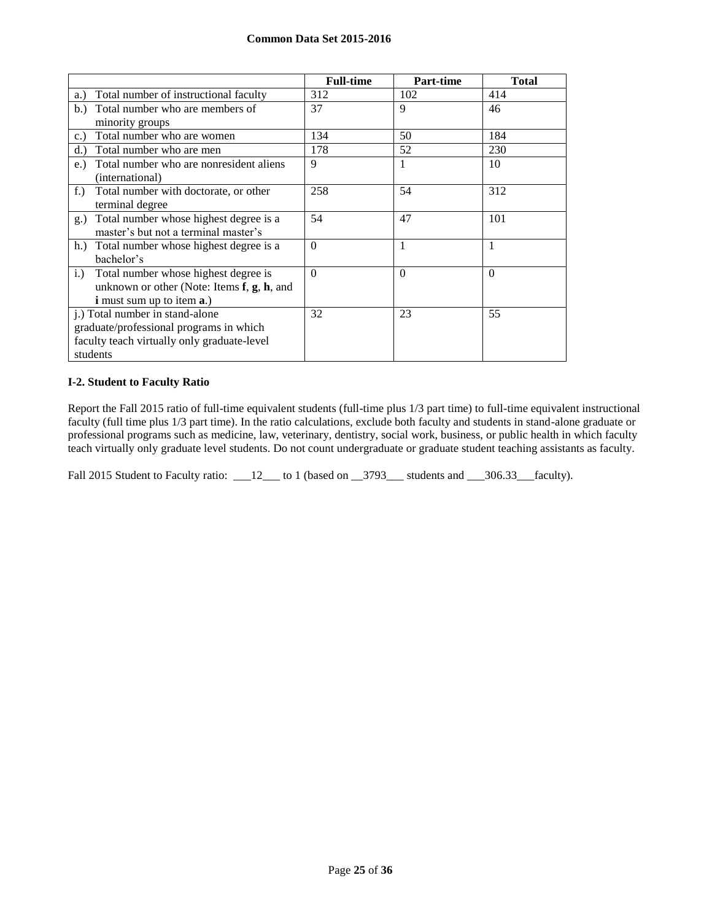|                                                     | <b>Full-time</b> | Part-time | <b>Total</b> |
|-----------------------------------------------------|------------------|-----------|--------------|
| Total number of instructional faculty<br>a.)        | 312              | 102       | 414          |
| Total number who are members of<br>b.)              | 37               | 9         | 46           |
| minority groups                                     |                  |           |              |
| Total number who are women<br>c.                    | 134              | 50        | 184          |
| Total number who are men<br>d.                      | 178              | 52        | 230          |
| Total number who are nonresident aliens<br>$e$ .    | 9                | 1         | 10           |
| (international)                                     |                  |           |              |
| $f$ .<br>Total number with doctorate, or other      | 258              | 54        | 312          |
| terminal degree                                     |                  |           |              |
| Total number whose highest degree is a<br>g.)       | 54               | 47        | 101          |
| master's but not a terminal master's                |                  |           |              |
| h.) Total number whose highest degree is a          | $\Omega$         | 1         | 1            |
| bachelor's                                          |                  |           |              |
| Total number whose highest degree is<br>i.)         | $\Omega$         | $\Omega$  | $\Omega$     |
| unknown or other (Note: Items $f$ , $g$ , $h$ , and |                  |           |              |
| <b>i</b> must sum up to item <b>a</b> .)            |                  |           |              |
| j.) Total number in stand-alone                     | 32               | 23        | 55           |
| graduate/professional programs in which             |                  |           |              |
| faculty teach virtually only graduate-level         |                  |           |              |
| students                                            |                  |           |              |

## **I-2. Student to Faculty Ratio**

Report the Fall 2015 ratio of full-time equivalent students (full-time plus 1/3 part time) to full-time equivalent instructional faculty (full time plus 1/3 part time). In the ratio calculations, exclude both faculty and students in stand-alone graduate or professional programs such as medicine, law, veterinary, dentistry, social work, business, or public health in which faculty teach virtually only graduate level students. Do not count undergraduate or graduate student teaching assistants as faculty.

Fall 2015 Student to Faculty ratio: \_\_\_12\_\_\_ to 1 (based on \_\_3793\_\_\_ students and \_\_\_306.33\_\_faculty).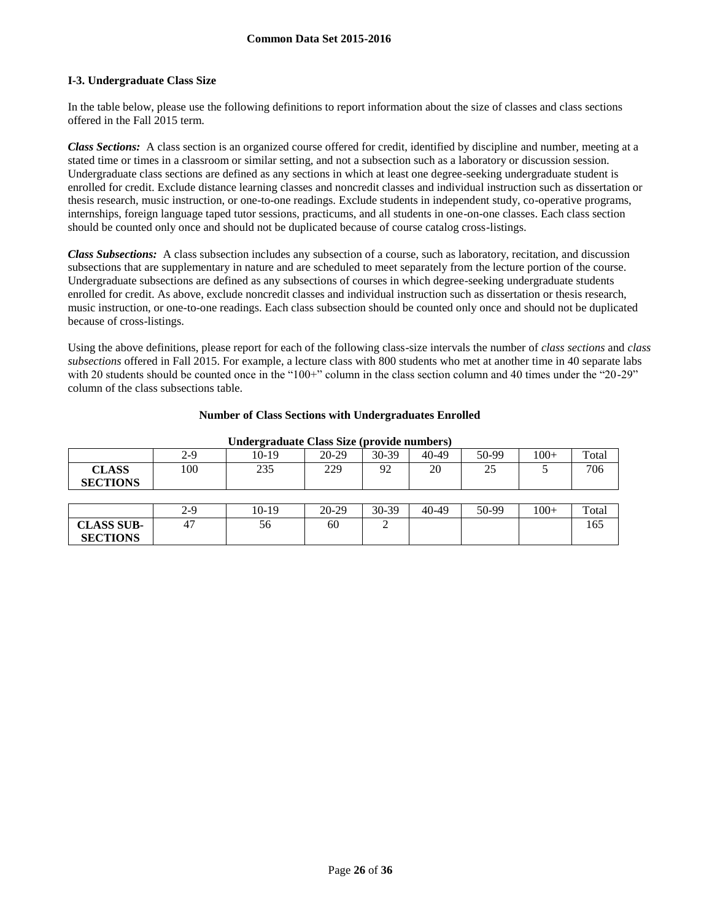### **I-3. Undergraduate Class Size**

In the table below, please use the following definitions to report information about the size of classes and class sections offered in the Fall 2015 term.

*Class Sections:* A class section is an organized course offered for credit, identified by discipline and number, meeting at a stated time or times in a classroom or similar setting, and not a subsection such as a laboratory or discussion session. Undergraduate class sections are defined as any sections in which at least one degree-seeking undergraduate student is enrolled for credit. Exclude distance learning classes and noncredit classes and individual instruction such as dissertation or thesis research, music instruction, or one-to-one readings. Exclude students in independent study, co-operative programs, internships, foreign language taped tutor sessions, practicums, and all students in one-on-one classes. Each class section should be counted only once and should not be duplicated because of course catalog cross-listings.

*Class Subsections:* A class subsection includes any subsection of a course, such as laboratory, recitation, and discussion subsections that are supplementary in nature and are scheduled to meet separately from the lecture portion of the course. Undergraduate subsections are defined as any subsections of courses in which degree-seeking undergraduate students enrolled for credit. As above, exclude noncredit classes and individual instruction such as dissertation or thesis research, music instruction, or one-to-one readings. Each class subsection should be counted only once and should not be duplicated because of cross-listings.

Using the above definitions, please report for each of the following class-size intervals the number of *class sections* and *class subsections* offered in Fall 2015. For example, a lecture class with 800 students who met at another time in 40 separate labs with 20 students should be counted once in the "100+" column in the class section column and 40 times under the "20-29" column of the class subsections table.

| <b>Undergraduate Class Size (provide numbers)</b> |       |         |         |       |       |       |        |       |
|---------------------------------------------------|-------|---------|---------|-------|-------|-------|--------|-------|
|                                                   | $2-9$ | $10-19$ | 20-29   | 30-39 | 40-49 | 50-99 | $100+$ | Total |
| <b>CLASS</b><br><b>SECTIONS</b>                   | 100   | 235     | 229     | 92    | 20    | 25    |        | 706   |
|                                                   |       |         |         |       |       |       |        |       |
|                                                   | $2-9$ | $10-19$ | $20-29$ | 30-39 | 40-49 | 50-99 | $100+$ | Total |
| <b>CLASS SUB-</b><br><b>SECTIONS</b>              | 47    | 56      | 60      | ◠     |       |       |        | 165   |

#### **Number of Class Sections with Undergraduates Enrolled**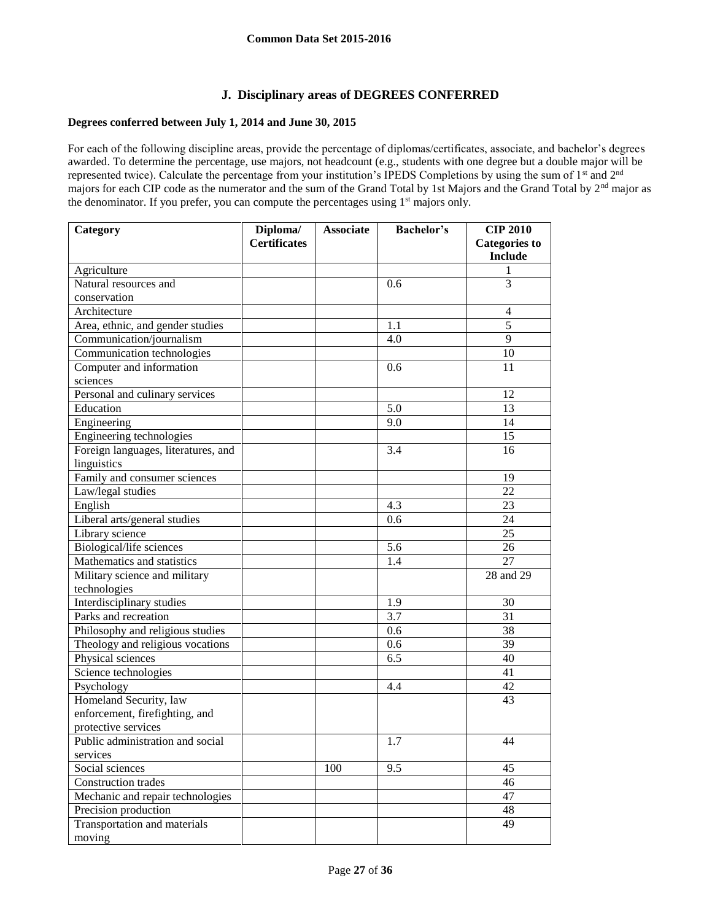## **J. Disciplinary areas of DEGREES CONFERRED**

## **Degrees conferred between July 1, 2014 and June 30, 2015**

For each of the following discipline areas, provide the percentage of diplomas/certificates, associate, and bachelor's degrees awarded. To determine the percentage, use majors, not headcount (e.g., students with one degree but a double major will be represented twice). Calculate the percentage from your institution's IPEDS Completions by using the sum of 1<sup>st</sup> and 2<sup>nd</sup> majors for each CIP code as the numerator and the sum of the Grand Total by 1st Majors and the Grand Total by 2<sup>nd</sup> major as the denominator. If you prefer, you can compute the percentages using 1<sup>st</sup> majors only.

| Category                            | Diploma/            | <b>Associate</b> | <b>Bachelor's</b> | <b>CIP 2010</b>      |
|-------------------------------------|---------------------|------------------|-------------------|----------------------|
|                                     | <b>Certificates</b> |                  |                   | <b>Categories to</b> |
|                                     |                     |                  |                   | <b>Include</b>       |
| Agriculture                         |                     |                  |                   | 1                    |
| Natural resources and               |                     |                  | 0.6               | 3                    |
| conservation                        |                     |                  |                   |                      |
| Architecture                        |                     |                  |                   | 4                    |
| Area, ethnic, and gender studies    |                     |                  | 1.1               | $\overline{5}$       |
| Communication/journalism            |                     |                  | 4.0               | 9                    |
| Communication technologies          |                     |                  |                   | 10                   |
| Computer and information            |                     |                  | 0.6               | 11                   |
| sciences                            |                     |                  |                   |                      |
| Personal and culinary services      |                     |                  |                   | 12                   |
| Education                           |                     |                  | 5.0               | 13                   |
| Engineering                         |                     |                  | 9.0               | 14                   |
| Engineering technologies            |                     |                  |                   | 15                   |
| Foreign languages, literatures, and |                     |                  | 3.4               | 16                   |
| linguistics                         |                     |                  |                   |                      |
| Family and consumer sciences        |                     |                  |                   | 19                   |
| Law/legal studies                   |                     |                  |                   | 22                   |
| English                             |                     |                  | 4.3               | 23                   |
| Liberal arts/general studies        |                     |                  | 0.6               | 24                   |
| Library science                     |                     |                  |                   | 25                   |
| Biological/life sciences            |                     |                  | 5.6               | 26                   |
| Mathematics and statistics          |                     |                  | 1.4               | 27                   |
| Military science and military       |                     |                  |                   | 28 and 29            |
| technologies                        |                     |                  |                   |                      |
| Interdisciplinary studies           |                     |                  | 1.9               | 30                   |
| Parks and recreation                |                     |                  | 3.7               | 31                   |
| Philosophy and religious studies    |                     |                  | 0.6               | 38                   |
| Theology and religious vocations    |                     |                  | 0.6               | 39                   |
| Physical sciences                   |                     |                  | 6.5               | 40                   |
| Science technologies                |                     |                  |                   | 41                   |
| Psychology                          |                     |                  | 4.4               | 42                   |
| Homeland Security, law              |                     |                  |                   | 43                   |
| enforcement, firefighting, and      |                     |                  |                   |                      |
| protective services                 |                     |                  |                   |                      |
| Public administration and social    |                     |                  | $1.\overline{7}$  | 44                   |
| services                            |                     |                  |                   |                      |
| Social sciences                     |                     | 100              | 9.5               | 45                   |
| Construction trades                 |                     |                  |                   | 46                   |
| Mechanic and repair technologies    |                     |                  |                   | 47                   |
| Precision production                |                     |                  |                   | 48                   |
| Transportation and materials        |                     |                  |                   | 49                   |
| moving                              |                     |                  |                   |                      |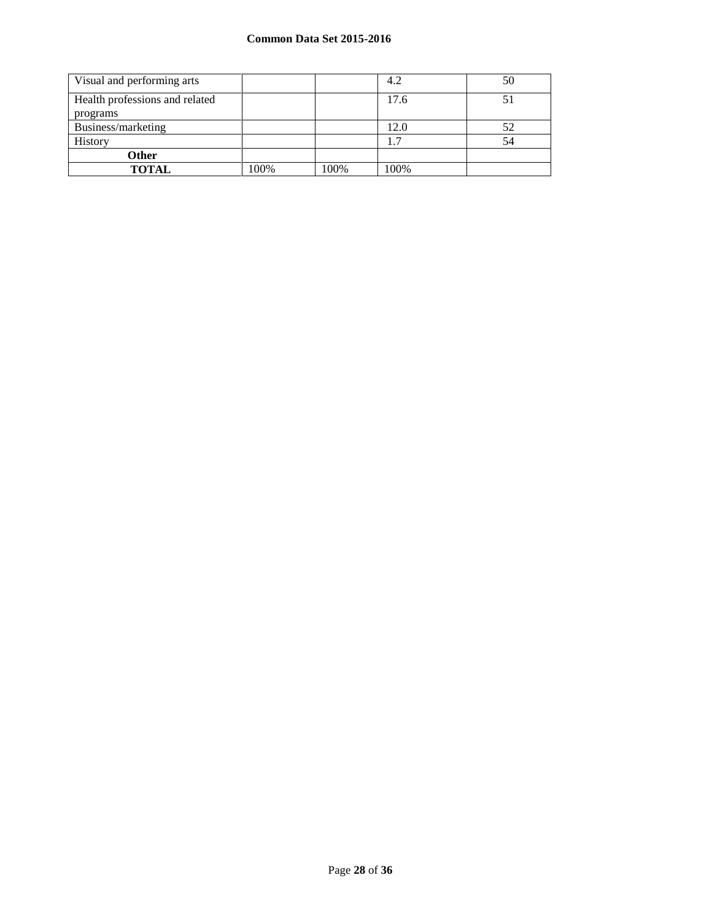| Visual and performing arts                 |      |      | 4.2  | 50 |
|--------------------------------------------|------|------|------|----|
| Health professions and related<br>programs |      |      | 17.6 |    |
| Business/marketing                         |      |      | 12.0 | 52 |
| History                                    |      |      |      | 54 |
| <b>Other</b>                               |      |      |      |    |
| <b>TOTAL</b>                               | 100% | 100% | 100% |    |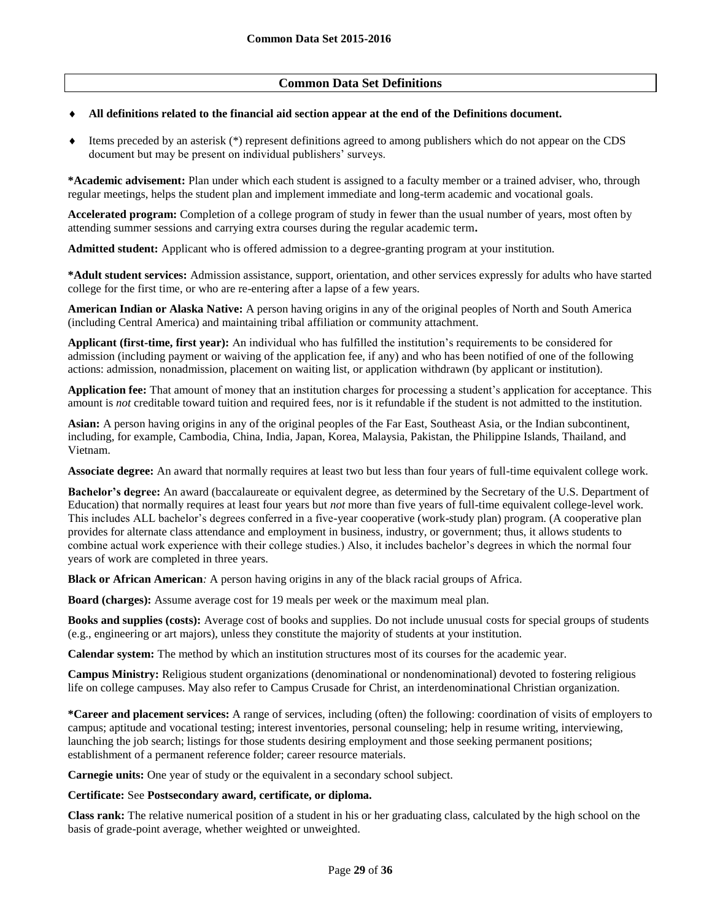## **Common Data Set Definitions**

#### **All definitions related to the financial aid section appear at the end of the Definitions document.**

 Items preceded by an asterisk (\*) represent definitions agreed to among publishers which do not appear on the CDS document but may be present on individual publishers' surveys.

**\*Academic advisement:** Plan under which each student is assigned to a faculty member or a trained adviser, who, through regular meetings, helps the student plan and implement immediate and long-term academic and vocational goals.

**Accelerated program:** Completion of a college program of study in fewer than the usual number of years, most often by attending summer sessions and carrying extra courses during the regular academic term**.**

**Admitted student:** Applicant who is offered admission to a degree-granting program at your institution.

**\*Adult student services:** Admission assistance, support, orientation, and other services expressly for adults who have started college for the first time, or who are re-entering after a lapse of a few years.

**American Indian or Alaska Native:** A person having origins in any of the original peoples of North and South America (including Central America) and maintaining tribal affiliation or community attachment.

**Applicant (first-time, first year):** An individual who has fulfilled the institution's requirements to be considered for admission (including payment or waiving of the application fee, if any) and who has been notified of one of the following actions: admission, nonadmission, placement on waiting list, or application withdrawn (by applicant or institution).

**Application fee:** That amount of money that an institution charges for processing a student's application for acceptance. This amount is *not* creditable toward tuition and required fees, nor is it refundable if the student is not admitted to the institution.

**Asian:** A person having origins in any of the original peoples of the Far East, Southeast Asia, or the Indian subcontinent, including, for example, Cambodia, China, India, Japan, Korea, Malaysia, Pakistan, the Philippine Islands, Thailand, and Vietnam.

**Associate degree:** An award that normally requires at least two but less than four years of full-time equivalent college work.

**Bachelor's degree:** An award (baccalaureate or equivalent degree, as determined by the Secretary of the U.S. Department of Education) that normally requires at least four years but *not* more than five years of full-time equivalent college-level work. This includes ALL bachelor's degrees conferred in a five-year cooperative (work-study plan) program. (A cooperative plan provides for alternate class attendance and employment in business, industry, or government; thus, it allows students to combine actual work experience with their college studies.) Also, it includes bachelor's degrees in which the normal four years of work are completed in three years.

**Black or African American***:* A person having origins in any of the black racial groups of Africa.

**Board (charges):** Assume average cost for 19 meals per week or the maximum meal plan.

**Books and supplies (costs):** Average cost of books and supplies. Do not include unusual costs for special groups of students (e.g., engineering or art majors), unless they constitute the majority of students at your institution.

**Calendar system:** The method by which an institution structures most of its courses for the academic year.

**Campus Ministry:** Religious student organizations (denominational or nondenominational) devoted to fostering religious life on college campuses. May also refer to Campus Crusade for Christ, an interdenominational Christian organization.

**\*Career and placement services:** A range of services, including (often) the following: coordination of visits of employers to campus; aptitude and vocational testing; interest inventories, personal counseling; help in resume writing, interviewing, launching the job search; listings for those students desiring employment and those seeking permanent positions; establishment of a permanent reference folder; career resource materials.

**Carnegie units:** One year of study or the equivalent in a secondary school subject.

#### **Certificate:** See **Postsecondary award, certificate, or diploma.**

**Class rank:** The relative numerical position of a student in his or her graduating class, calculated by the high school on the basis of grade-point average, whether weighted or unweighted.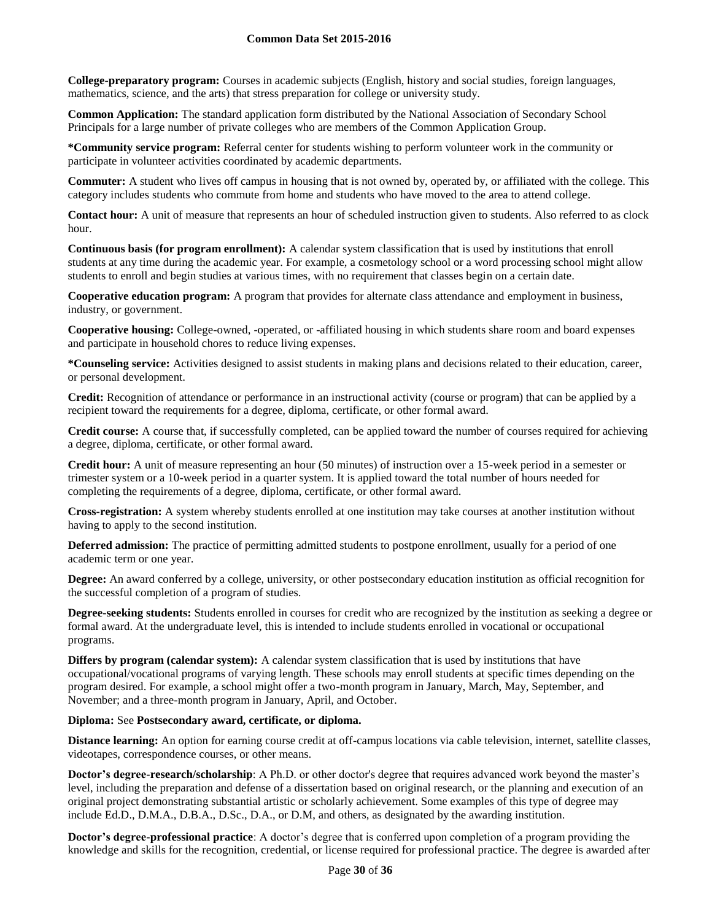**College-preparatory program:** Courses in academic subjects (English, history and social studies, foreign languages, mathematics, science, and the arts) that stress preparation for college or university study.

**Common Application:** The standard application form distributed by the National Association of Secondary School Principals for a large number of private colleges who are members of the Common Application Group.

**\*Community service program:** Referral center for students wishing to perform volunteer work in the community or participate in volunteer activities coordinated by academic departments.

**Commuter:** A student who lives off campus in housing that is not owned by, operated by, or affiliated with the college. This category includes students who commute from home and students who have moved to the area to attend college.

**Contact hour:** A unit of measure that represents an hour of scheduled instruction given to students. Also referred to as clock hour.

**Continuous basis (for program enrollment):** A calendar system classification that is used by institutions that enroll students at any time during the academic year. For example, a cosmetology school or a word processing school might allow students to enroll and begin studies at various times, with no requirement that classes begin on a certain date.

**Cooperative education program:** A program that provides for alternate class attendance and employment in business, industry, or government.

**Cooperative housing:** College-owned, -operated, or -affiliated housing in which students share room and board expenses and participate in household chores to reduce living expenses.

**\*Counseling service:** Activities designed to assist students in making plans and decisions related to their education, career, or personal development.

**Credit:** Recognition of attendance or performance in an instructional activity (course or program) that can be applied by a recipient toward the requirements for a degree, diploma, certificate, or other formal award.

**Credit course:** A course that, if successfully completed, can be applied toward the number of courses required for achieving a degree, diploma, certificate, or other formal award.

**Credit hour:** A unit of measure representing an hour (50 minutes) of instruction over a 15-week period in a semester or trimester system or a 10-week period in a quarter system. It is applied toward the total number of hours needed for completing the requirements of a degree, diploma, certificate, or other formal award.

**Cross-registration:** A system whereby students enrolled at one institution may take courses at another institution without having to apply to the second institution.

**Deferred admission:** The practice of permitting admitted students to postpone enrollment, usually for a period of one academic term or one year.

**Degree:** An award conferred by a college, university, or other postsecondary education institution as official recognition for the successful completion of a program of studies.

**Degree-seeking students:** Students enrolled in courses for credit who are recognized by the institution as seeking a degree or formal award. At the undergraduate level, this is intended to include students enrolled in vocational or occupational programs.

**Differs by program (calendar system):** A calendar system classification that is used by institutions that have occupational/vocational programs of varying length. These schools may enroll students at specific times depending on the program desired. For example, a school might offer a two-month program in January, March, May, September, and November; and a three-month program in January, April, and October.

#### **Diploma:** See **Postsecondary award, certificate, or diploma.**

**Distance learning:** An option for earning course credit at off-campus locations via cable television, internet, satellite classes, videotapes, correspondence courses, or other means.

**Doctor's degree-research/scholarship**: A Ph.D. or other doctor's degree that requires advanced work beyond the master's level, including the preparation and defense of a dissertation based on original research, or the planning and execution of an original project demonstrating substantial artistic or scholarly achievement. Some examples of this type of degree may include Ed.D., D.M.A., D.B.A., D.Sc., D.A., or D.M, and others, as designated by the awarding institution.

**Doctor's degree-professional practice**: A doctor's degree that is conferred upon completion of a program providing the knowledge and skills for the recognition, credential, or license required for professional practice. The degree is awarded after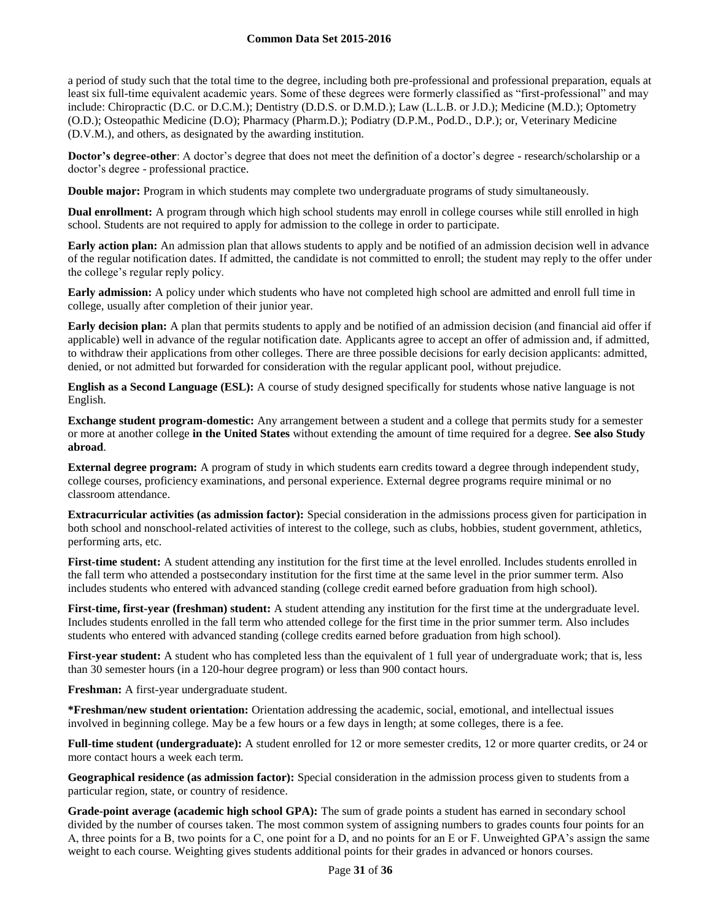a period of study such that the total time to the degree, including both pre-professional and professional preparation, equals at least six full-time equivalent academic years. Some of these degrees were formerly classified as "first-professional" and may include: Chiropractic (D.C. or D.C.M.); Dentistry (D.D.S. or D.M.D.); Law (L.L.B. or J.D.); Medicine (M.D.); Optometry (O.D.); Osteopathic Medicine (D.O); Pharmacy (Pharm.D.); Podiatry (D.P.M., Pod.D., D.P.); or, Veterinary Medicine (D.V.M.), and others, as designated by the awarding institution.

**Doctor's degree-other**: A doctor's degree that does not meet the definition of a doctor's degree - research/scholarship or a doctor's degree - professional practice.

**Double major:** Program in which students may complete two undergraduate programs of study simultaneously.

**Dual enrollment:** A program through which high school students may enroll in college courses while still enrolled in high school. Students are not required to apply for admission to the college in order to participate.

**Early action plan:** An admission plan that allows students to apply and be notified of an admission decision well in advance of the regular notification dates. If admitted, the candidate is not committed to enroll; the student may reply to the offer under the college's regular reply policy.

**Early admission:** A policy under which students who have not completed high school are admitted and enroll full time in college, usually after completion of their junior year.

**Early decision plan:** A plan that permits students to apply and be notified of an admission decision (and financial aid offer if applicable) well in advance of the regular notification date. Applicants agree to accept an offer of admission and, if admitted, to withdraw their applications from other colleges. There are three possible decisions for early decision applicants: admitted, denied, or not admitted but forwarded for consideration with the regular applicant pool, without prejudice.

**English as a Second Language (ESL):** A course of study designed specifically for students whose native language is not English.

**Exchange student program-domestic:** Any arrangement between a student and a college that permits study for a semester or more at another college **in the United States** without extending the amount of time required for a degree. **See also Study abroad**.

**External degree program:** A program of study in which students earn credits toward a degree through independent study, college courses, proficiency examinations, and personal experience. External degree programs require minimal or no classroom attendance.

**Extracurricular activities (as admission factor):** Special consideration in the admissions process given for participation in both school and nonschool-related activities of interest to the college, such as clubs, hobbies, student government, athletics, performing arts, etc.

**First-time student:** A student attending any institution for the first time at the level enrolled. Includes students enrolled in the fall term who attended a postsecondary institution for the first time at the same level in the prior summer term. Also includes students who entered with advanced standing (college credit earned before graduation from high school).

**First-time, first-year (freshman) student:** A student attending any institution for the first time at the undergraduate level. Includes students enrolled in the fall term who attended college for the first time in the prior summer term. Also includes students who entered with advanced standing (college credits earned before graduation from high school).

**First-year student:** A student who has completed less than the equivalent of 1 full year of undergraduate work; that is, less than 30 semester hours (in a 120-hour degree program) or less than 900 contact hours.

**Freshman:** A first-year undergraduate student.

**\*Freshman/new student orientation:** Orientation addressing the academic, social, emotional, and intellectual issues involved in beginning college. May be a few hours or a few days in length; at some colleges, there is a fee.

**Full-time student (undergraduate):** A student enrolled for 12 or more semester credits, 12 or more quarter credits, or 24 or more contact hours a week each term.

**Geographical residence (as admission factor):** Special consideration in the admission process given to students from a particular region, state, or country of residence.

**Grade-point average (academic high school GPA):** The sum of grade points a student has earned in secondary school divided by the number of courses taken. The most common system of assigning numbers to grades counts four points for an A, three points for a B, two points for a C, one point for a D, and no points for an E or F. Unweighted GPA's assign the same weight to each course. Weighting gives students additional points for their grades in advanced or honors courses.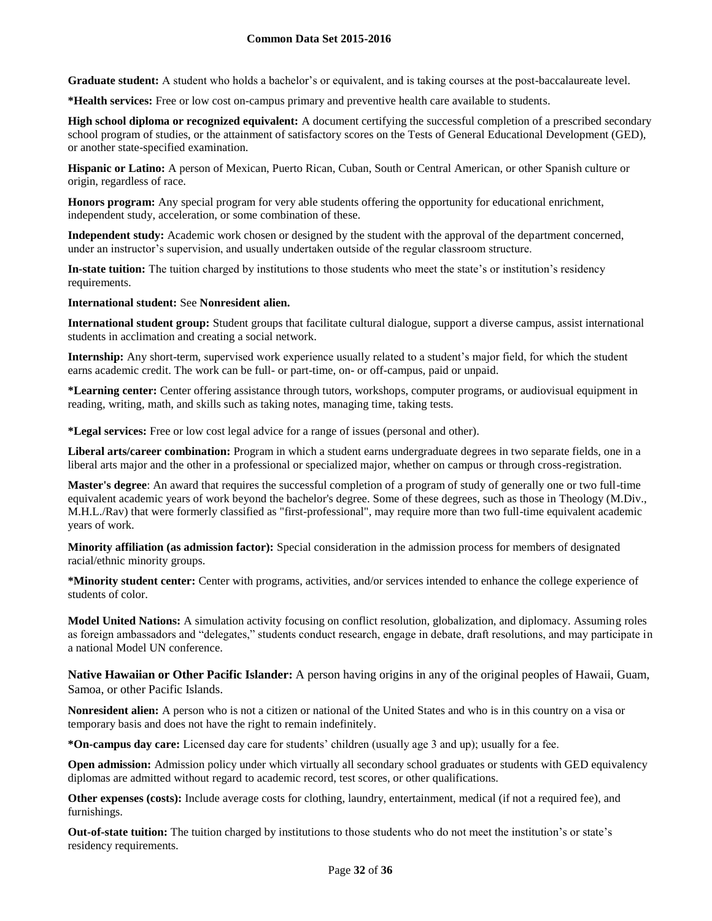**Graduate student:** A student who holds a bachelor's or equivalent, and is taking courses at the post-baccalaureate level.

**\*Health services:** Free or low cost on-campus primary and preventive health care available to students.

**High school diploma or recognized equivalent:** A document certifying the successful completion of a prescribed secondary school program of studies, or the attainment of satisfactory scores on the Tests of General Educational Development (GED), or another state-specified examination.

**Hispanic or Latino:** A person of Mexican, Puerto Rican, Cuban, South or Central American, or other Spanish culture or origin, regardless of race.

**Honors program:** Any special program for very able students offering the opportunity for educational enrichment, independent study, acceleration, or some combination of these.

**Independent study:** Academic work chosen or designed by the student with the approval of the department concerned, under an instructor's supervision, and usually undertaken outside of the regular classroom structure.

**In-state tuition:** The tuition charged by institutions to those students who meet the state's or institution's residency requirements.

#### **International student:** See **Nonresident alien.**

**International student group:** Student groups that facilitate cultural dialogue, support a diverse campus, assist international students in acclimation and creating a social network.

**Internship:** Any short-term, supervised work experience usually related to a student's major field, for which the student earns academic credit. The work can be full- or part-time, on- or off-campus, paid or unpaid.

**\*Learning center:** Center offering assistance through tutors, workshops, computer programs, or audiovisual equipment in reading, writing, math, and skills such as taking notes, managing time, taking tests.

**\*Legal services:** Free or low cost legal advice for a range of issues (personal and other).

**Liberal arts/career combination:** Program in which a student earns undergraduate degrees in two separate fields, one in a liberal arts major and the other in a professional or specialized major, whether on campus or through cross-registration.

**Master's degree**: An award that requires the successful completion of a program of study of generally one or two full-time equivalent academic years of work beyond the bachelor's degree. Some of these degrees, such as those in Theology (M.Div., M.H.L./Rav) that were formerly classified as "first-professional", may require more than two full-time equivalent academic years of work.

**Minority affiliation (as admission factor):** Special consideration in the admission process for members of designated racial/ethnic minority groups.

**\*Minority student center:** Center with programs, activities, and/or services intended to enhance the college experience of students of color.

**Model United Nations:** A simulation activity focusing on conflict resolution, globalization, and diplomacy. Assuming roles as foreign ambassadors and "delegates," students conduct research, engage in debate, draft resolutions, and may participate in a national Model UN conference.

**Native Hawaiian or Other Pacific Islander:** A person having origins in any of the original peoples of Hawaii, Guam, Samoa, or other Pacific Islands.

**Nonresident alien:** A person who is not a citizen or national of the United States and who is in this country on a visa or temporary basis and does not have the right to remain indefinitely.

**\*On-campus day care:** Licensed day care for students' children (usually age 3 and up); usually for a fee.

**Open admission:** Admission policy under which virtually all secondary school graduates or students with GED equivalency diplomas are admitted without regard to academic record, test scores, or other qualifications.

**Other expenses (costs):** Include average costs for clothing, laundry, entertainment, medical (if not a required fee), and furnishings.

**Out-of-state tuition:** The tuition charged by institutions to those students who do not meet the institution's or state's residency requirements.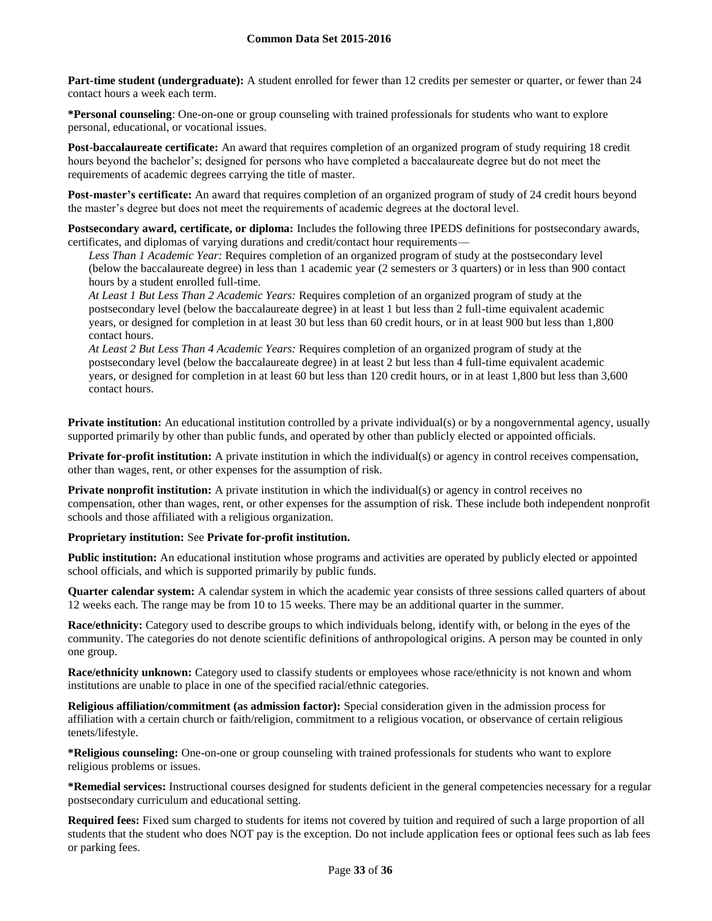**Part-time student (undergraduate):** A student enrolled for fewer than 12 credits per semester or quarter, or fewer than 24 contact hours a week each term.

**\*Personal counseling**: One-on-one or group counseling with trained professionals for students who want to explore personal, educational, or vocational issues.

**Post-baccalaureate certificate:** An award that requires completion of an organized program of study requiring 18 credit hours beyond the bachelor's; designed for persons who have completed a baccalaureate degree but do not meet the requirements of academic degrees carrying the title of master.

**Post-master's certificate:** An award that requires completion of an organized program of study of 24 credit hours beyond the master's degree but does not meet the requirements of academic degrees at the doctoral level.

**Postsecondary award, certificate, or diploma:** Includes the following three IPEDS definitions for postsecondary awards, certificates, and diplomas of varying durations and credit/contact hour requirements—

*Less Than 1 Academic Year:* Requires completion of an organized program of study at the postsecondary level (below the baccalaureate degree) in less than 1 academic year (2 semesters or 3 quarters) or in less than 900 contact hours by a student enrolled full-time.

*At Least 1 But Less Than 2 Academic Years:* Requires completion of an organized program of study at the postsecondary level (below the baccalaureate degree) in at least 1 but less than 2 full-time equivalent academic years, or designed for completion in at least 30 but less than 60 credit hours, or in at least 900 but less than 1,800 contact hours.

*At Least 2 But Less Than 4 Academic Years:* Requires completion of an organized program of study at the postsecondary level (below the baccalaureate degree) in at least 2 but less than 4 full-time equivalent academic years, or designed for completion in at least 60 but less than 120 credit hours, or in at least 1,800 but less than 3,600 contact hours.

**Private institution:** An educational institution controlled by a private individual(s) or by a nongovernmental agency, usually supported primarily by other than public funds, and operated by other than publicly elected or appointed officials.

**Private for-profit institution:** A private institution in which the individual(s) or agency in control receives compensation, other than wages, rent, or other expenses for the assumption of risk.

**Private nonprofit institution:** A private institution in which the individual(s) or agency in control receives no compensation, other than wages, rent, or other expenses for the assumption of risk. These include both independent nonprofit schools and those affiliated with a religious organization.

## **Proprietary institution:** See **Private for-profit institution.**

**Public institution:** An educational institution whose programs and activities are operated by publicly elected or appointed school officials, and which is supported primarily by public funds.

**Quarter calendar system:** A calendar system in which the academic year consists of three sessions called quarters of about 12 weeks each. The range may be from 10 to 15 weeks. There may be an additional quarter in the summer.

**Race/ethnicity:** Category used to describe groups to which individuals belong, identify with, or belong in the eyes of the community. The categories do not denote scientific definitions of anthropological origins. A person may be counted in only one group.

**Race/ethnicity unknown:** Category used to classify students or employees whose race/ethnicity is not known and whom institutions are unable to place in one of the specified racial/ethnic categories.

**Religious affiliation/commitment (as admission factor):** Special consideration given in the admission process for affiliation with a certain church or faith/religion, commitment to a religious vocation, or observance of certain religious tenets/lifestyle.

**\*Religious counseling:** One-on-one or group counseling with trained professionals for students who want to explore religious problems or issues.

**\*Remedial services:** Instructional courses designed for students deficient in the general competencies necessary for a regular postsecondary curriculum and educational setting.

**Required fees:** Fixed sum charged to students for items not covered by tuition and required of such a large proportion of all students that the student who does NOT pay is the exception. Do not include application fees or optional fees such as lab fees or parking fees.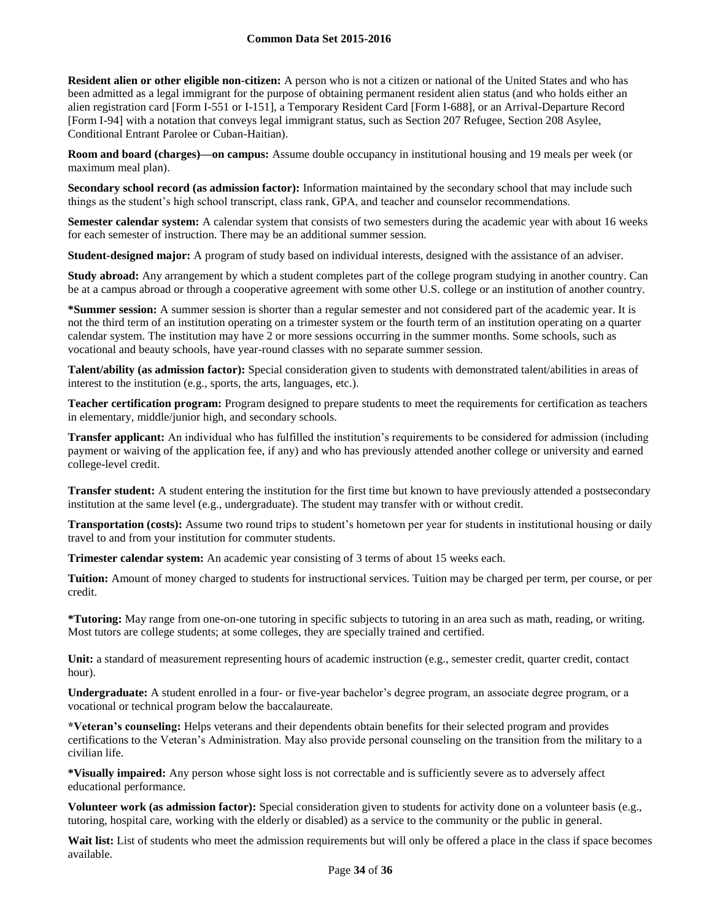**Resident alien or other eligible non-citizen:** A person who is not a citizen or national of the United States and who has been admitted as a legal immigrant for the purpose of obtaining permanent resident alien status (and who holds either an alien registration card [Form I-551 or I-151], a Temporary Resident Card [Form I-688], or an Arrival-Departure Record [Form I-94] with a notation that conveys legal immigrant status, such as Section 207 Refugee, Section 208 Asylee, Conditional Entrant Parolee or Cuban-Haitian).

**Room and board (charges)—on campus:** Assume double occupancy in institutional housing and 19 meals per week (or maximum meal plan).

**Secondary school record (as admission factor):** Information maintained by the secondary school that may include such things as the student's high school transcript, class rank, GPA, and teacher and counselor recommendations.

**Semester calendar system:** A calendar system that consists of two semesters during the academic year with about 16 weeks for each semester of instruction. There may be an additional summer session.

**Student-designed major:** A program of study based on individual interests, designed with the assistance of an adviser.

**Study abroad:** Any arrangement by which a student completes part of the college program studying in another country. Can be at a campus abroad or through a cooperative agreement with some other U.S. college or an institution of another country.

**\*Summer session:** A summer session is shorter than a regular semester and not considered part of the academic year. It is not the third term of an institution operating on a trimester system or the fourth term of an institution operating on a quarter calendar system. The institution may have 2 or more sessions occurring in the summer months. Some schools, such as vocational and beauty schools, have year-round classes with no separate summer session.

**Talent/ability (as admission factor):** Special consideration given to students with demonstrated talent/abilities in areas of interest to the institution (e.g., sports, the arts, languages, etc.).

**Teacher certification program:** Program designed to prepare students to meet the requirements for certification as teachers in elementary, middle/junior high, and secondary schools.

**Transfer applicant:** An individual who has fulfilled the institution's requirements to be considered for admission (including payment or waiving of the application fee, if any) and who has previously attended another college or university and earned college-level credit.

**Transfer student:** A student entering the institution for the first time but known to have previously attended a postsecondary institution at the same level (e.g., undergraduate). The student may transfer with or without credit.

**Transportation (costs):** Assume two round trips to student's hometown per year for students in institutional housing or daily travel to and from your institution for commuter students.

**Trimester calendar system:** An academic year consisting of 3 terms of about 15 weeks each.

**Tuition:** Amount of money charged to students for instructional services. Tuition may be charged per term, per course, or per credit.

**\*Tutoring:** May range from one-on-one tutoring in specific subjects to tutoring in an area such as math, reading, or writing. Most tutors are college students; at some colleges, they are specially trained and certified.

Unit: a standard of measurement representing hours of academic instruction (e.g., semester credit, quarter credit, contact hour).

**Undergraduate:** A student enrolled in a four- or five-year bachelor's degree program, an associate degree program, or a vocational or technical program below the baccalaureate.

**\*Veteran's counseling:** Helps veterans and their dependents obtain benefits for their selected program and provides certifications to the Veteran's Administration. May also provide personal counseling on the transition from the military to a civilian life.

**\*Visually impaired:** Any person whose sight loss is not correctable and is sufficiently severe as to adversely affect educational performance.

**Volunteer work (as admission factor):** Special consideration given to students for activity done on a volunteer basis (e.g., tutoring, hospital care, working with the elderly or disabled) as a service to the community or the public in general.

Wait list: List of students who meet the admission requirements but will only be offered a place in the class if space becomes available.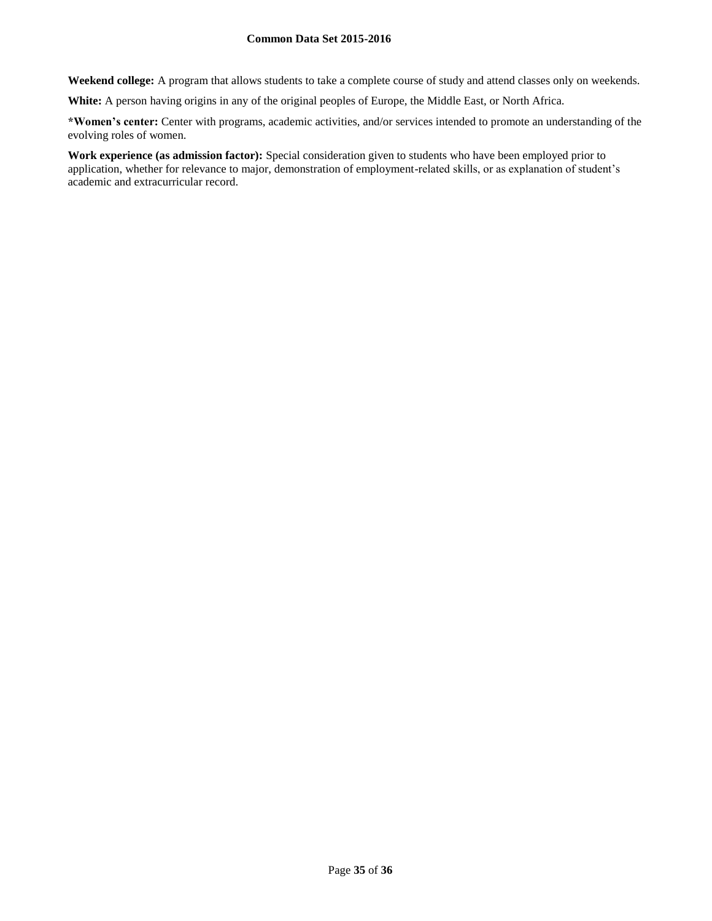**Weekend college:** A program that allows students to take a complete course of study and attend classes only on weekends.

**White:** A person having origins in any of the original peoples of Europe, the Middle East, or North Africa.

**\*Women's center:** Center with programs, academic activities, and/or services intended to promote an understanding of the evolving roles of women.

**Work experience (as admission factor):** Special consideration given to students who have been employed prior to application, whether for relevance to major, demonstration of employment-related skills, or as explanation of student's academic and extracurricular record.